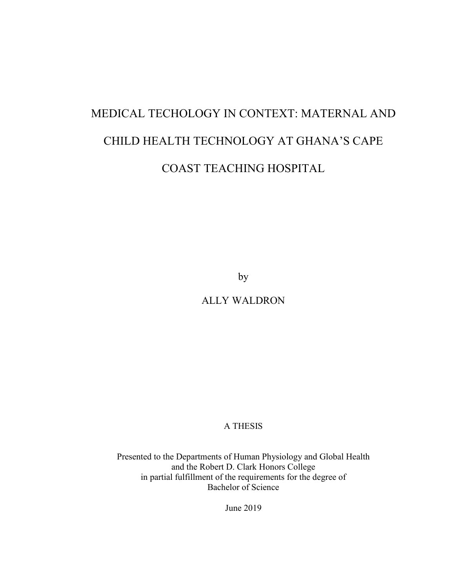# MEDICAL TECHOLOGY IN CONTEXT: MATERNAL AND CHILD HEALTH TECHNOLOGY AT GHANA'S CAPE COAST TEACHING HOSPITAL

by

ALLY WALDRON

A THESIS

Presented to the Departments of Human Physiology and Global Health and the Robert D. Clark Honors College in partial fulfillment of the requirements for the degree of Bachelor of Science

June 2019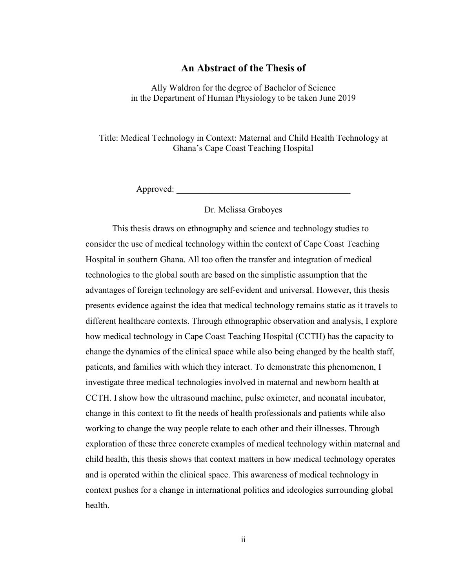## **An Abstract of the Thesis of**

Ally Waldron for the degree of Bachelor of Science in the Department of Human Physiology to be taken June 2019

Title: Medical Technology in Context: Maternal and Child Health Technology at Ghana's Cape Coast Teaching Hospital

Approved:

#### Dr. Melissa Graboyes

This thesis draws on ethnography and science and technology studies to consider the use of medical technology within the context of Cape Coast Teaching Hospital in southern Ghana. All too often the transfer and integration of medical technologies to the global south are based on the simplistic assumption that the advantages of foreign technology are self-evident and universal. However, this thesis presents evidence against the idea that medical technology remains static as it travels to different healthcare contexts. Through ethnographic observation and analysis, I explore how medical technology in Cape Coast Teaching Hospital (CCTH) has the capacity to change the dynamics of the clinical space while also being changed by the health staff, patients, and families with which they interact. To demonstrate this phenomenon, I investigate three medical technologies involved in maternal and newborn health at CCTH. I show how the ultrasound machine, pulse oximeter, and neonatal incubator, change in this context to fit the needs of health professionals and patients while also working to change the way people relate to each other and their illnesses. Through exploration of these three concrete examples of medical technology within maternal and child health, this thesis shows that context matters in how medical technology operates and is operated within the clinical space. This awareness of medical technology in context pushes for a change in international politics and ideologies surrounding global health.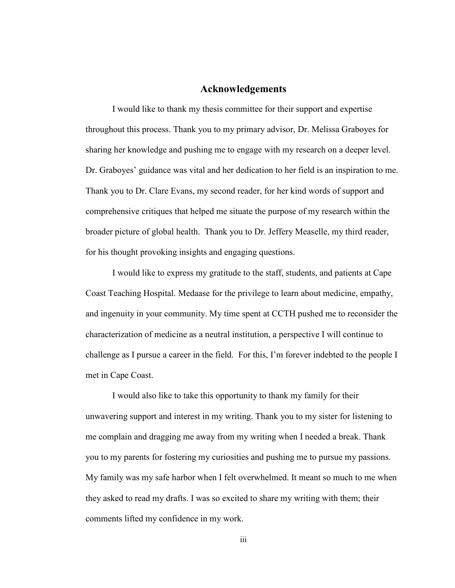#### **Acknowledgements**

I would like to thank my thesis committee for their support and expertise throughout this process. Thank you to my primary advisor, Dr. Melissa Graboyes for sharing her knowledge and pushing me to engage with my research on a deeper level. Dr. Graboyes' guidance was vital and her dedication to her field is an inspiration to me. Thank you to Dr. Clare Evans, my second reader, for her kind words of support and comprehensive critiques that helped me situate the purpose of my research within the broader picture of global health. Thank you to Dr. Jeffery Measelle, my third reader, for his thought provoking insights and engaging questions.

I would like to express my gratitude to the staff, students, and patients at Cape Coast Teaching Hospital. Medaase for the privilege to learn about medicine, empathy, and ingenuity in your community. My time spent at CCTH pushed me to reconsider the characterization of medicine as a neutral institution, a perspective I will continue to challenge as I pursue a career in the field. For this, I'm forever indebted to the people I met in Cape Coast.

I would also like to take this opportunity to thank my family for their unwavering support and interest in my writing. Thank you to my sister for listening to me complain and dragging me away from my writing when I needed a break. Thank you to my parents for fostering my curiosities and pushing me to pursue my passions. My family was my safe harbor when I felt overwhelmed. It meant so much to me when they asked to read my drafts. I was so excited to share my writing with them; their comments lifted my confidence in my work.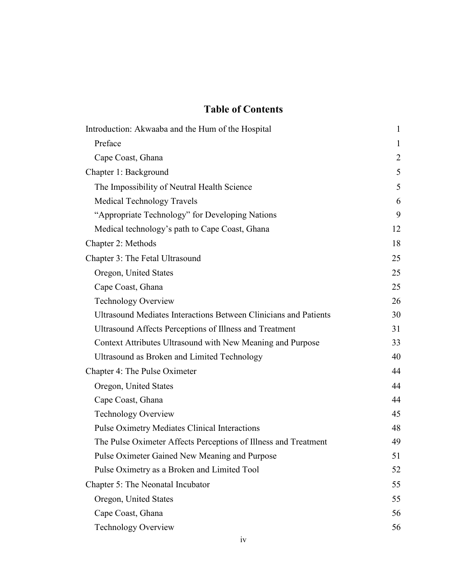# **Table of Contents**

| Introduction: Akwaaba and the Hum of the Hospital                | $\mathbf{1}$   |
|------------------------------------------------------------------|----------------|
| Preface                                                          | $\mathbf{1}$   |
| Cape Coast, Ghana                                                | $\overline{2}$ |
| Chapter 1: Background                                            | 5              |
| The Impossibility of Neutral Health Science                      | 5              |
| <b>Medical Technology Travels</b>                                | 6              |
| "Appropriate Technology" for Developing Nations                  | 9              |
| Medical technology's path to Cape Coast, Ghana                   | 12             |
| Chapter 2: Methods                                               | 18             |
| Chapter 3: The Fetal Ultrasound                                  | 25             |
| Oregon, United States                                            | 25             |
| Cape Coast, Ghana                                                | 25             |
| <b>Technology Overview</b>                                       | 26             |
| Ultrasound Mediates Interactions Between Clinicians and Patients | 30             |
| Ultrasound Affects Perceptions of Illness and Treatment          | 31             |
| Context Attributes Ultrasound with New Meaning and Purpose       | 33             |
| Ultrasound as Broken and Limited Technology                      | 40             |
| Chapter 4: The Pulse Oximeter                                    | 44             |
| Oregon, United States                                            | 44             |
| Cape Coast, Ghana                                                | 44             |
| <b>Technology Overview</b>                                       | 45             |
| <b>Pulse Oximetry Mediates Clinical Interactions</b>             | 48             |
| The Pulse Oximeter Affects Perceptions of Illness and Treatment  | 49             |
| Pulse Oximeter Gained New Meaning and Purpose                    | 51             |
| Pulse Oximetry as a Broken and Limited Tool                      | 52             |
| Chapter 5: The Neonatal Incubator                                | 55             |
| Oregon, United States                                            | 55             |
| Cape Coast, Ghana                                                | 56             |
| Technology Overview                                              | 56             |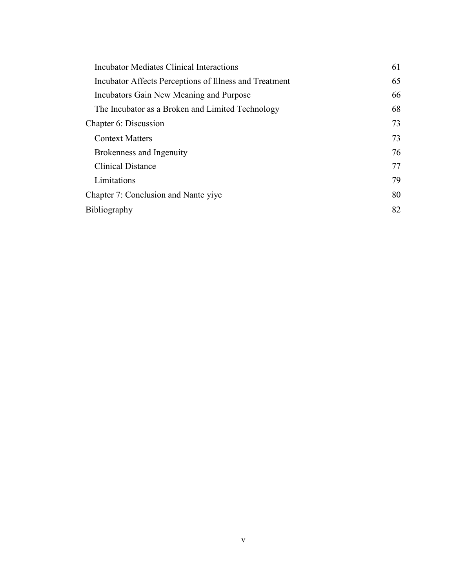| Incubator Mediates Clinical Interactions               | 61 |
|--------------------------------------------------------|----|
| Incubator Affects Perceptions of Illness and Treatment | 65 |
| Incubators Gain New Meaning and Purpose                | 66 |
| The Incubator as a Broken and Limited Technology       | 68 |
| Chapter 6: Discussion                                  | 73 |
| <b>Context Matters</b>                                 | 73 |
| Brokenness and Ingenuity                               | 76 |
| <b>Clinical Distance</b>                               | 77 |
| Limitations                                            | 79 |
| Chapter 7: Conclusion and Nante yiye                   | 80 |
| Bibliography                                           | 82 |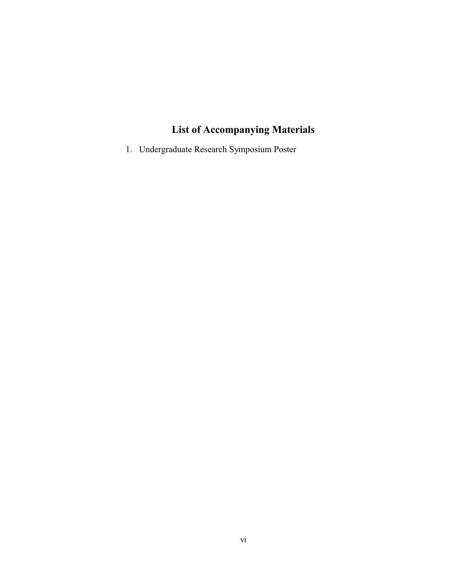# **List of Accompanying Materials**

1. Undergraduate Research Symposium Poster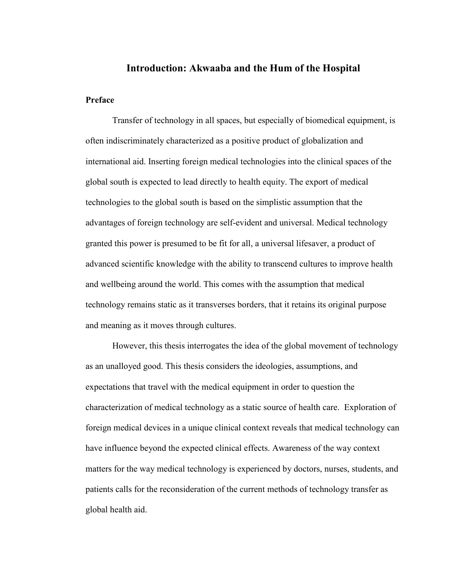#### **Introduction: Akwaaba and the Hum of the Hospital**

#### **Preface**

Transfer of technology in all spaces, but especially of biomedical equipment, is often indiscriminately characterized as a positive product of globalization and international aid. Inserting foreign medical technologies into the clinical spaces of the global south is expected to lead directly to health equity. The export of medical technologies to the global south is based on the simplistic assumption that the advantages of foreign technology are self-evident and universal. Medical technology granted this power is presumed to be fit for all, a universal lifesaver, a product of advanced scientific knowledge with the ability to transcend cultures to improve health and wellbeing around the world. This comes with the assumption that medical technology remains static as it transverses borders, that it retains its original purpose and meaning as it moves through cultures.

However, this thesis interrogates the idea of the global movement of technology as an unalloyed good. This thesis considers the ideologies, assumptions, and expectations that travel with the medical equipment in order to question the characterization of medical technology as a static source of health care. Exploration of foreign medical devices in a unique clinical context reveals that medical technology can have influence beyond the expected clinical effects. Awareness of the way context matters for the way medical technology is experienced by doctors, nurses, students, and patients calls for the reconsideration of the current methods of technology transfer as global health aid.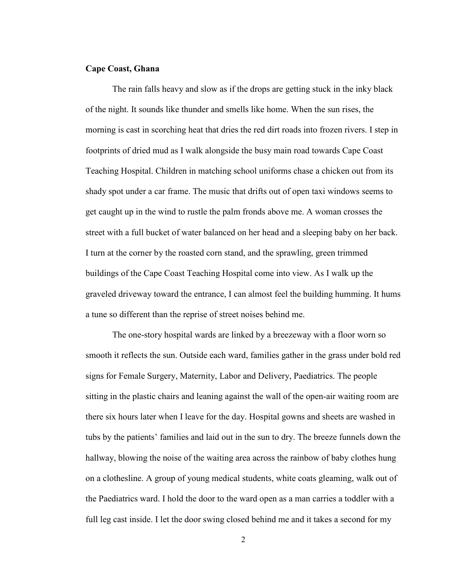#### **Cape Coast, Ghana**

The rain falls heavy and slow as if the drops are getting stuck in the inky black of the night. It sounds like thunder and smells like home. When the sun rises, the morning is cast in scorching heat that dries the red dirt roads into frozen rivers. I step in footprints of dried mud as I walk alongside the busy main road towards Cape Coast Teaching Hospital. Children in matching school uniforms chase a chicken out from its shady spot under a car frame. The music that drifts out of open taxi windows seems to get caught up in the wind to rustle the palm fronds above me. A woman crosses the street with a full bucket of water balanced on her head and a sleeping baby on her back. I turn at the corner by the roasted corn stand, and the sprawling, green trimmed buildings of the Cape Coast Teaching Hospital come into view. As I walk up the graveled driveway toward the entrance, I can almost feel the building humming. It hums a tune so different than the reprise of street noises behind me.

The one-story hospital wards are linked by a breezeway with a floor worn so smooth it reflects the sun. Outside each ward, families gather in the grass under bold red signs for Female Surgery, Maternity, Labor and Delivery, Paediatrics. The people sitting in the plastic chairs and leaning against the wall of the open-air waiting room are there six hours later when I leave for the day. Hospital gowns and sheets are washed in tubs by the patients' families and laid out in the sun to dry. The breeze funnels down the hallway, blowing the noise of the waiting area across the rainbow of baby clothes hung on a clothesline. A group of young medical students, white coats gleaming, walk out of the Paediatrics ward. I hold the door to the ward open as a man carries a toddler with a full leg cast inside. I let the door swing closed behind me and it takes a second for my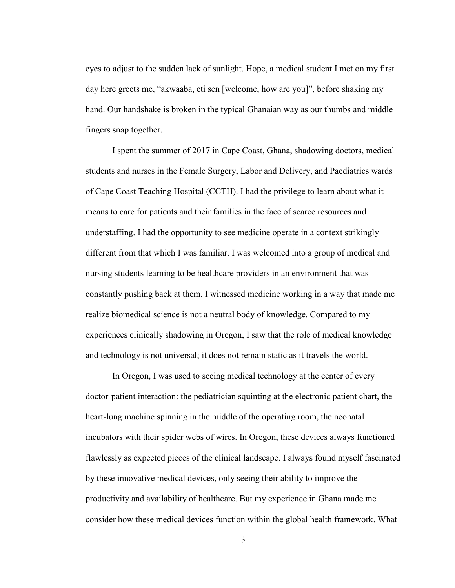eyes to adjust to the sudden lack of sunlight. Hope, a medical student I met on my first day here greets me, "akwaaba, eti sen [welcome, how are you]", before shaking my hand. Our handshake is broken in the typical Ghanaian way as our thumbs and middle fingers snap together.

I spent the summer of 2017 in Cape Coast, Ghana, shadowing doctors, medical students and nurses in the Female Surgery, Labor and Delivery, and Paediatrics wards of Cape Coast Teaching Hospital (CCTH). I had the privilege to learn about what it means to care for patients and their families in the face of scarce resources and understaffing. I had the opportunity to see medicine operate in a context strikingly different from that which I was familiar. I was welcomed into a group of medical and nursing students learning to be healthcare providers in an environment that was constantly pushing back at them. I witnessed medicine working in a way that made me realize biomedical science is not a neutral body of knowledge. Compared to my experiences clinically shadowing in Oregon, I saw that the role of medical knowledge and technology is not universal; it does not remain static as it travels the world.

In Oregon, I was used to seeing medical technology at the center of every doctor-patient interaction: the pediatrician squinting at the electronic patient chart, the heart-lung machine spinning in the middle of the operating room, the neonatal incubators with their spider webs of wires. In Oregon, these devices always functioned flawlessly as expected pieces of the clinical landscape. I always found myself fascinated by these innovative medical devices, only seeing their ability to improve the productivity and availability of healthcare. But my experience in Ghana made me consider how these medical devices function within the global health framework. What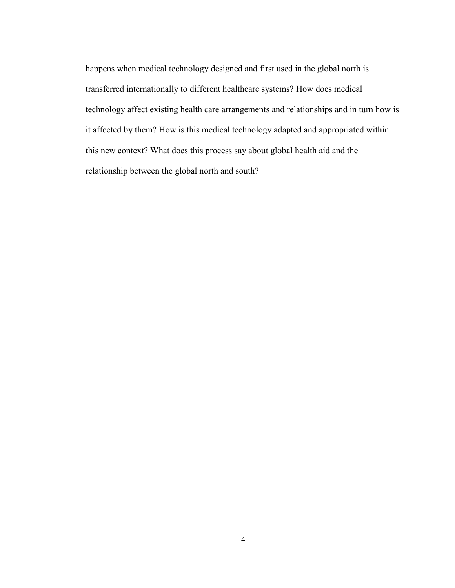happens when medical technology designed and first used in the global north is transferred internationally to different healthcare systems? How does medical technology affect existing health care arrangements and relationships and in turn how is it affected by them? How is this medical technology adapted and appropriated within this new context? What does this process say about global health aid and the relationship between the global north and south?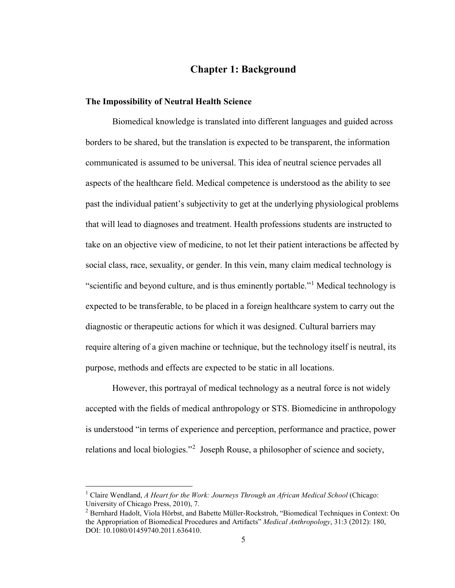# **Chapter 1: Background**

#### **The Impossibility of Neutral Health Science**

Biomedical knowledge is translated into different languages and guided across borders to be shared, but the translation is expected to be transparent, the information communicated is assumed to be universal. This idea of neutral science pervades all aspects of the healthcare field. Medical competence is understood as the ability to see past the individual patient's subjectivity to get at the underlying physiological problems that will lead to diagnoses and treatment. Health professions students are instructed to take on an objective view of medicine, to not let their patient interactions be affected by social class, race, sexuality, or gender. In this vein, many claim medical technology is "scientific and beyond culture, and is thus eminently portable."[1](#page-10-0) Medical technology is expected to be transferable, to be placed in a foreign healthcare system to carry out the diagnostic or therapeutic actions for which it was designed. Cultural barriers may require altering of a given machine or technique, but the technology itself is neutral, its purpose, methods and effects are expected to be static in all locations.

However, this portrayal of medical technology as a neutral force is not widely accepted with the fields of medical anthropology or STS. Biomedicine in anthropology is understood "in terms of experience and perception, performance and practice, power relations and local biologies."<sup>[2](#page-10-1)</sup> Joseph Rouse, a philosopher of science and society,

<span id="page-10-0"></span><sup>&</sup>lt;sup>1</sup> Claire Wendland, *A Heart for the Work: Journeys Through an African Medical School* (Chicago: University of Chicago Press, 2010), 7.

<span id="page-10-1"></span><sup>2</sup> Bernhard Hadolt, Viola Hörbst, and Babette Müller-Rockstroh, "Biomedical Techniques in Context: On the Appropriation of Biomedical Procedures and Artifacts" *Medical Anthropology*, 31:3 (2012): 180, DOI: 10.1080/01459740.2011.636410.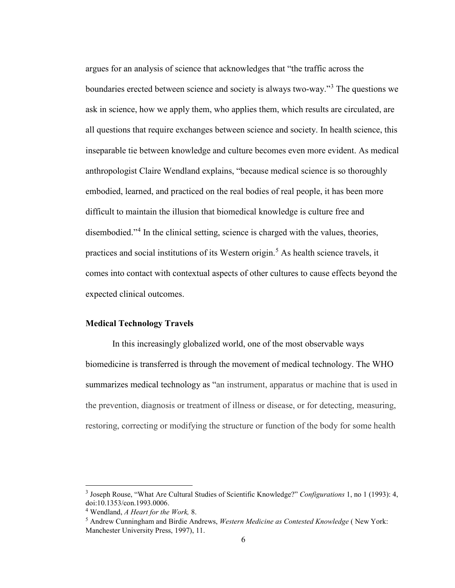argues for an analysis of science that acknowledges that "the traffic across the boundaries erected between science and society is always two-way."[3](#page-11-0) The questions we ask in science, how we apply them, who applies them, which results are circulated, are all questions that require exchanges between science and society. In health science, this inseparable tie between knowledge and culture becomes even more evident. As medical anthropologist Claire Wendland explains, "because medical science is so thoroughly embodied, learned, and practiced on the real bodies of real people, it has been more difficult to maintain the illusion that biomedical knowledge is culture free and disembodied."[4](#page-11-1) In the clinical setting, science is charged with the values, theories, practices and social institutions of its Western origin.<sup>[5](#page-11-2)</sup> As health science travels, it comes into contact with contextual aspects of other cultures to cause effects beyond the expected clinical outcomes.

#### **Medical Technology Travels**

In this increasingly globalized world, one of the most observable ways biomedicine is transferred is through the movement of medical technology. The WHO summarizes medical technology as "an instrument, apparatus or machine that is used in the prevention, diagnosis or treatment of illness or disease, or for detecting, measuring, restoring, correcting or modifying the structure or function of the body for some health

<span id="page-11-0"></span><sup>3</sup> Joseph Rouse, "What Are Cultural Studies of Scientific Knowledge?" *Configurations* 1, no 1 (1993): 4, doi:10.1353/con.1993.0006.

<span id="page-11-1"></span><sup>4</sup> Wendland, *A Heart for the Work,* 8.

<span id="page-11-2"></span><sup>5</sup> Andrew Cunningham and Birdie Andrews, *Western Medicine as Contested Knowledge* ( New York: Manchester University Press, 1997), 11.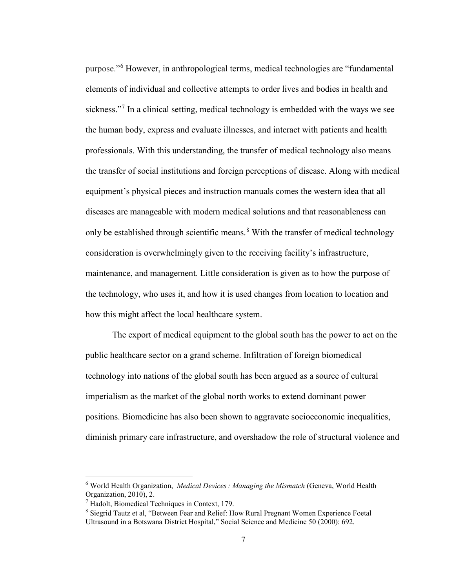purpose."[6](#page-12-0) However, in anthropological terms, medical technologies are "fundamental elements of individual and collective attempts to order lives and bodies in health and sickness."<sup>[7](#page-12-1)</sup> In a clinical setting, medical technology is embedded with the ways we see the human body, express and evaluate illnesses, and interact with patients and health professionals. With this understanding, the transfer of medical technology also means the transfer of social institutions and foreign perceptions of disease. Along with medical equipment's physical pieces and instruction manuals comes the western idea that all diseases are manageable with modern medical solutions and that reasonableness can only be established through scientific means.<sup>[8](#page-12-2)</sup> With the transfer of medical technology consideration is overwhelmingly given to the receiving facility's infrastructure, maintenance, and management. Little consideration is given as to how the purpose of the technology, who uses it, and how it is used changes from location to location and how this might affect the local healthcare system.

The export of medical equipment to the global south has the power to act on the public healthcare sector on a grand scheme. Infiltration of foreign biomedical technology into nations of the global south has been argued as a source of cultural imperialism as the market of the global north works to extend dominant power positions. Biomedicine has also been shown to aggravate socioeconomic inequalities, diminish primary care infrastructure, and overshadow the role of structural violence and

<span id="page-12-0"></span><sup>6</sup> World Health Organization, *Medical Devices : Managing the Mismatch* (Geneva, World Health Organization, 2010), 2.

<span id="page-12-1"></span><sup>7</sup> Hadolt, Biomedical Techniques in Context, 179.

<span id="page-12-2"></span><sup>8</sup> Siegrid Tautz et al, "Between Fear and Relief: How Rural Pregnant Women Experience Foetal Ultrasound in a Botswana District Hospital," Social Science and Medicine 50 (2000): 692.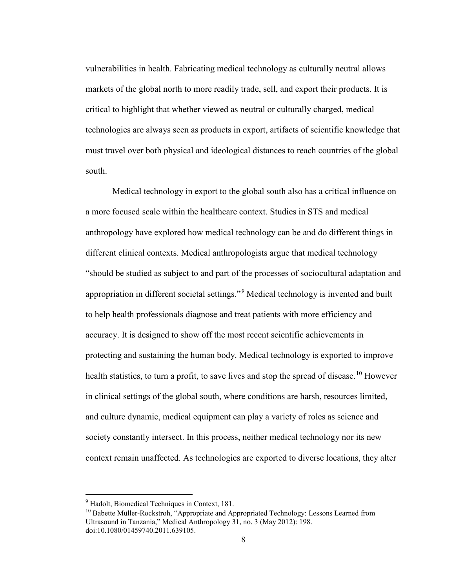vulnerabilities in health. Fabricating medical technology as culturally neutral allows markets of the global north to more readily trade, sell, and export their products. It is critical to highlight that whether viewed as neutral or culturally charged, medical technologies are always seen as products in export, artifacts of scientific knowledge that must travel over both physical and ideological distances to reach countries of the global south.

Medical technology in export to the global south also has a critical influence on a more focused scale within the healthcare context. Studies in STS and medical anthropology have explored how medical technology can be and do different things in different clinical contexts. Medical anthropologists argue that medical technology "should be studied as subject to and part of the processes of sociocultural adaptation and appropriation in different societal settings."*[9](#page-13-0)* Medical technology is invented and built to help health professionals diagnose and treat patients with more efficiency and accuracy. It is designed to show off the most recent scientific achievements in protecting and sustaining the human body. Medical technology is exported to improve health statistics, to turn a profit, to save lives and stop the spread of disease.<sup>[10](#page-13-1)</sup> However in clinical settings of the global south, where conditions are harsh, resources limited, and culture dynamic, medical equipment can play a variety of roles as science and society constantly intersect. In this process, neither medical technology nor its new context remain unaffected. As technologies are exported to diverse locations, they alter

<span id="page-13-0"></span><sup>9</sup> Hadolt, Biomedical Techniques in Context, 181.

<span id="page-13-1"></span><sup>&</sup>lt;sup>10</sup> Babette Müller-Rockstroh, "Appropriate and Appropriated Technology: Lessons Learned from Ultrasound in Tanzania," Medical Anthropology 31, no. 3 (May 2012): 198. doi:10.1080/01459740.2011.639105.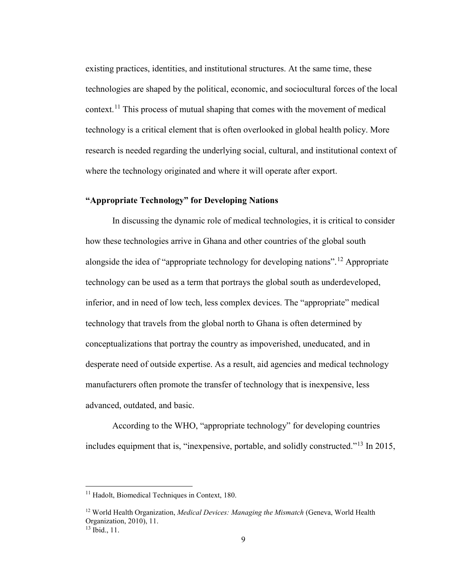existing practices, identities, and institutional structures. At the same time, these technologies are shaped by the political, economic, and sociocultural forces of the local context.[11](#page-14-0) This process of mutual shaping that comes with the movement of medical technology is a critical element that is often overlooked in global health policy. More research is needed regarding the underlying social, cultural, and institutional context of where the technology originated and where it will operate after export.

# **"Appropriate Technology" for Developing Nations**

In discussing the dynamic role of medical technologies, it is critical to consider how these technologies arrive in Ghana and other countries of the global south alongside the idea of "appropriate technology for developing nations".[12](#page-14-1) Appropriate technology can be used as a term that portrays the global south as underdeveloped, inferior, and in need of low tech, less complex devices. The "appropriate" medical technology that travels from the global north to Ghana is often determined by conceptualizations that portray the country as impoverished, uneducated, and in desperate need of outside expertise. As a result, aid agencies and medical technology manufacturers often promote the transfer of technology that is inexpensive, less advanced, outdated, and basic.

According to the WHO, "appropriate technology" for developing countries includes equipment that is, "inexpensive, portable, and solidly constructed."[13](#page-14-2) In 2015,

<span id="page-14-0"></span><sup>&</sup>lt;sup>11</sup> Hadolt, Biomedical Techniques in Context, 180.

<span id="page-14-1"></span><sup>12</sup> World Health Organization, *Medical Devices: Managing the Mismatch* (Geneva, World Health Organization, 2010), 11.

<span id="page-14-2"></span> $13$  Ibid., 11.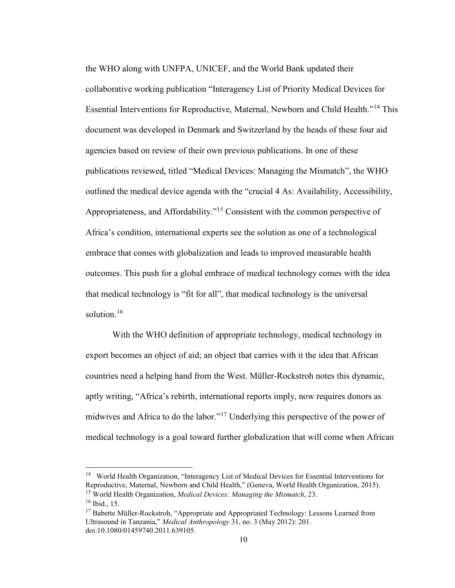the WHO along with UNFPA, UNICEF, and the World Bank updated their collaborative working publication "Interagency List of Priority Medical Devices for Essential Interventions for Reproductive, Maternal, Newborn and Child Health."[14](#page-15-0) This document was developed in Denmark and Switzerland by the heads of these four aid agencies based on review of their own previous publications. In one of these publications reviewed, titled "Medical Devices: Managing the Mismatch", the WHO outlined the medical device agenda with the "crucial 4 As: Availability, Accessibility, Appropriateness, and Affordability."[15](#page-15-1) Consistent with the common perspective of Africa's condition, international experts see the solution as one of a technological embrace that comes with globalization and leads to improved measurable health outcomes. This push for a global embrace of medical technology comes with the idea that medical technology is "fit for all", that medical technology is the universal solution. $16$ 

With the WHO definition of appropriate technology, medical technology in export becomes an object of aid; an object that carries with it the idea that African countries need a helping hand from the West. Müller-Rockstroh notes this dynamic, aptly writing, "Africa's rebirth, international reports imply, now requires donors as midwives and Africa to do the labor."[17](#page-15-3) Underlying this perspective of the power of medical technology is a goal toward further globalization that will come when African

<span id="page-15-0"></span><sup>14</sup> World Health Organization, "Interagency List of Medical Devices for Essential Interventions for Reproductive, Maternal, Newborn and Child Health," (Geneva, World Health Organization, 2015). <sup>15</sup> World Health Organization, *Medical Devices: Managing the Mismatch*, 23.

<span id="page-15-2"></span><span id="page-15-1"></span><sup>16</sup> Ibid., 15.

<span id="page-15-3"></span><sup>&</sup>lt;sup>17</sup> Babette Müller-Rockstroh, "Appropriate and Appropriated Technology: Lessons Learned from Ultrasound in Tanzania," *Medical Anthropology* 31, no. 3 (May 2012): 201. doi:10.1080/01459740.2011.639105.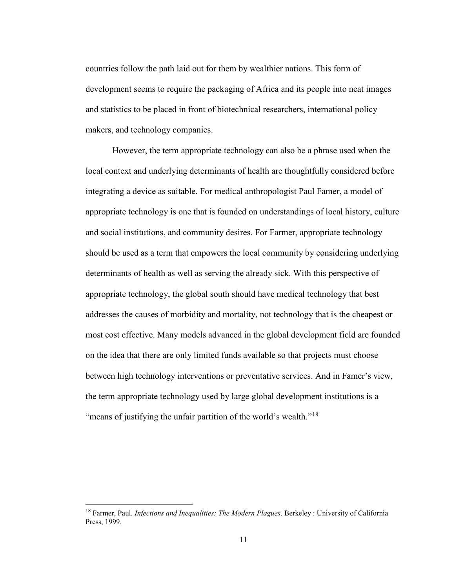countries follow the path laid out for them by wealthier nations. This form of development seems to require the packaging of Africa and its people into neat images and statistics to be placed in front of biotechnical researchers, international policy makers, and technology companies.

However, the term appropriate technology can also be a phrase used when the local context and underlying determinants of health are thoughtfully considered before integrating a device as suitable. For medical anthropologist Paul Famer, a model of appropriate technology is one that is founded on understandings of local history, culture and social institutions, and community desires. For Farmer, appropriate technology should be used as a term that empowers the local community by considering underlying determinants of health as well as serving the already sick. With this perspective of appropriate technology, the global south should have medical technology that best addresses the causes of morbidity and mortality, not technology that is the cheapest or most cost effective. Many models advanced in the global development field are founded on the idea that there are only limited funds available so that projects must choose between high technology interventions or preventative services. And in Famer's view, the term appropriate technology used by large global development institutions is a "means of justifying the unfair partition of the world's wealth."<sup>[18](#page-16-0)</sup>

<span id="page-16-0"></span><sup>18</sup> Farmer, Paul. *Infections and Inequalities: The Modern Plagues*. Berkeley : University of California Press, 1999.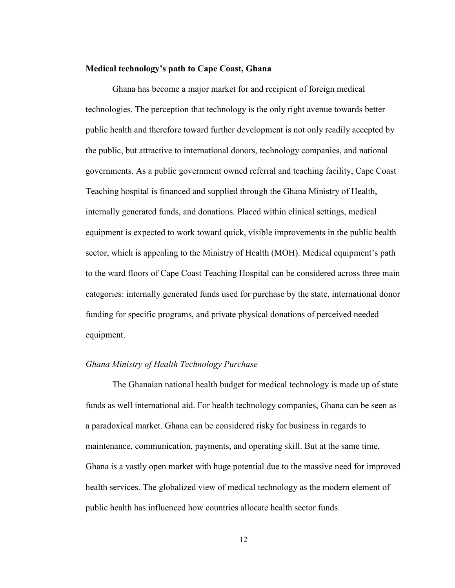#### **Medical technology's path to Cape Coast, Ghana**

Ghana has become a major market for and recipient of foreign medical technologies. The perception that technology is the only right avenue towards better public health and therefore toward further development is not only readily accepted by the public, but attractive to international donors, technology companies, and national governments. As a public government owned referral and teaching facility, Cape Coast Teaching hospital is financed and supplied through the Ghana Ministry of Health, internally generated funds, and donations. Placed within clinical settings, medical equipment is expected to work toward quick, visible improvements in the public health sector, which is appealing to the Ministry of Health (MOH). Medical equipment's path to the ward floors of Cape Coast Teaching Hospital can be considered across three main categories: internally generated funds used for purchase by the state, international donor funding for specific programs, and private physical donations of perceived needed equipment.

### *Ghana Ministry of Health Technology Purchase*

The Ghanaian national health budget for medical technology is made up of state funds as well international aid. For health technology companies, Ghana can be seen as a paradoxical market. Ghana can be considered risky for business in regards to maintenance, communication, payments, and operating skill. But at the same time, Ghana is a vastly open market with huge potential due to the massive need for improved health services. The globalized view of medical technology as the modern element of public health has influenced how countries allocate health sector funds.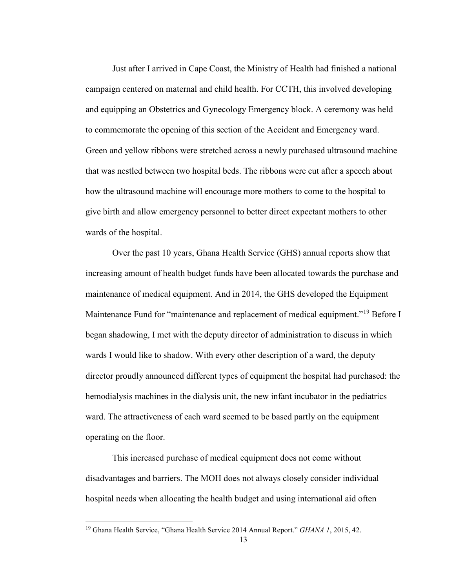Just after I arrived in Cape Coast, the Ministry of Health had finished a national campaign centered on maternal and child health. For CCTH, this involved developing and equipping an Obstetrics and Gynecology Emergency block. A ceremony was held to commemorate the opening of this section of the Accident and Emergency ward. Green and yellow ribbons were stretched across a newly purchased ultrasound machine that was nestled between two hospital beds. The ribbons were cut after a speech about how the ultrasound machine will encourage more mothers to come to the hospital to give birth and allow emergency personnel to better direct expectant mothers to other wards of the hospital.

Over the past 10 years, Ghana Health Service (GHS) annual reports show that increasing amount of health budget funds have been allocated towards the purchase and maintenance of medical equipment. And in 2014, the GHS developed the Equipment Maintenance Fund for "maintenance and replacement of medical equipment."<sup>[19](#page-18-0)</sup> Before I began shadowing, I met with the deputy director of administration to discuss in which wards I would like to shadow. With every other description of a ward, the deputy director proudly announced different types of equipment the hospital had purchased: the hemodialysis machines in the dialysis unit, the new infant incubator in the pediatrics ward. The attractiveness of each ward seemed to be based partly on the equipment operating on the floor.

This increased purchase of medical equipment does not come without disadvantages and barriers. The MOH does not always closely consider individual hospital needs when allocating the health budget and using international aid often

<span id="page-18-0"></span><sup>19</sup> Ghana Health Service, "Ghana Health Service 2014 Annual Report." *GHANA 1*, 2015, 42.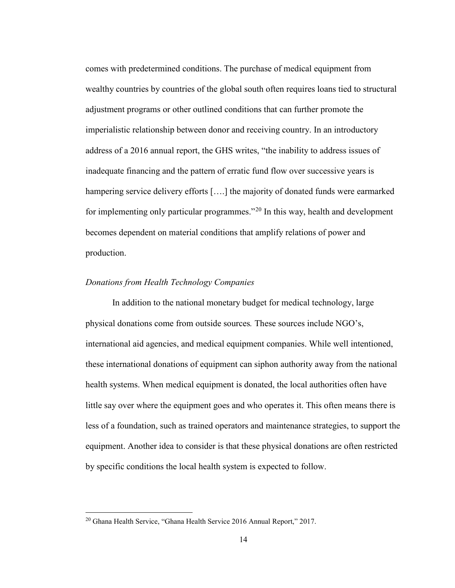comes with predetermined conditions. The purchase of medical equipment from wealthy countries by countries of the global south often requires loans tied to structural adjustment programs or other outlined conditions that can further promote the imperialistic relationship between donor and receiving country. In an introductory address of a 2016 annual report, the GHS writes, "the inability to address issues of inadequate financing and the pattern of erratic fund flow over successive years is hampering service delivery efforts [....] the majority of donated funds were earmarked for implementing only particular programmes."<sup>[20](#page-19-0)</sup> In this way, health and development becomes dependent on material conditions that amplify relations of power and production.

#### *Donations from Health Technology Companies*

In addition to the national monetary budget for medical technology, large physical donations come from outside sources*.* These sources include NGO's, international aid agencies, and medical equipment companies. While well intentioned, these international donations of equipment can siphon authority away from the national health systems. When medical equipment is donated, the local authorities often have little say over where the equipment goes and who operates it. This often means there is less of a foundation, such as trained operators and maintenance strategies, to support the equipment. Another idea to consider is that these physical donations are often restricted by specific conditions the local health system is expected to follow.

<span id="page-19-0"></span><sup>20</sup> Ghana Health Service, "Ghana Health Service 2016 Annual Report," 2017.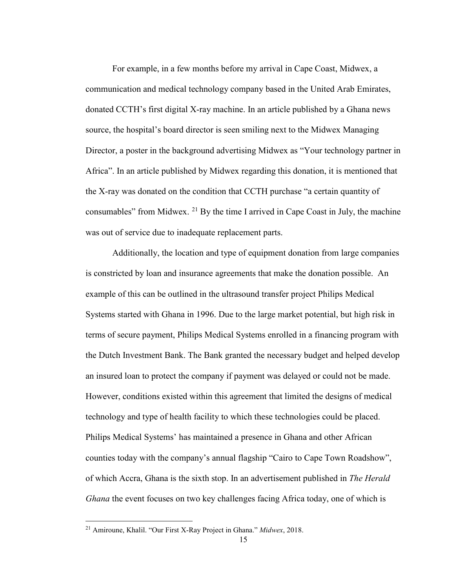For example, in a few months before my arrival in Cape Coast, Midwex, a communication and medical technology company based in the United Arab Emirates, donated CCTH's first digital X-ray machine. In an article published by a Ghana news source, the hospital's board director is seen smiling next to the Midwex Managing Director, a poster in the background advertising Midwex as "Your technology partner in Africa". In an article published by Midwex regarding this donation, it is mentioned that the X-ray was donated on the condition that CCTH purchase "a certain quantity of consumables" from Midwex.  $^{21}$  $^{21}$  $^{21}$  By the time I arrived in Cape Coast in July, the machine was out of service due to inadequate replacement parts.

Additionally, the location and type of equipment donation from large companies is constricted by loan and insurance agreements that make the donation possible. An example of this can be outlined in the ultrasound transfer project Philips Medical Systems started with Ghana in 1996. Due to the large market potential, but high risk in terms of secure payment, Philips Medical Systems enrolled in a financing program with the Dutch Investment Bank. The Bank granted the necessary budget and helped develop an insured loan to protect the company if payment was delayed or could not be made. However, conditions existed within this agreement that limited the designs of medical technology and type of health facility to which these technologies could be placed. Philips Medical Systems' has maintained a presence in Ghana and other African counties today with the company's annual flagship "Cairo to Cape Town Roadshow", of which Accra, Ghana is the sixth stop. In an advertisement published in *The Herald Ghana* the event focuses on two key challenges facing Africa today, one of which is

<span id="page-20-0"></span><sup>21</sup> Amiroune, Khalil. "Our First X-Ray Project in Ghana." *Midwex*, 2018.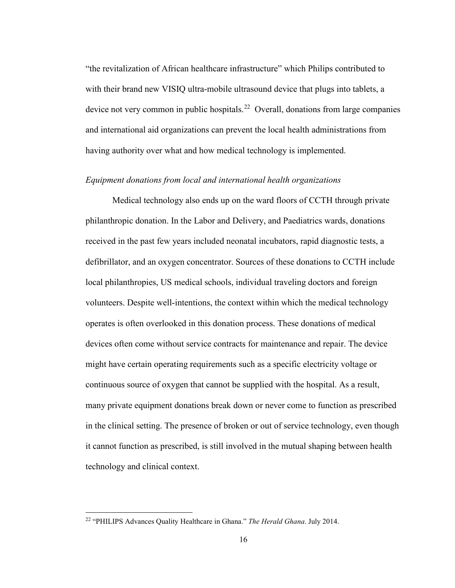"the revitalization of African healthcare infrastructure" which Philips contributed to with their brand new VISIQ ultra-mobile ultrasound device that plugs into tablets, a device not very common in public hospitals.<sup>22</sup> Overall, donations from large companies and international aid organizations can prevent the local health administrations from having authority over what and how medical technology is implemented.

#### *Equipment donations from local and international health organizations*

Medical technology also ends up on the ward floors of CCTH through private philanthropic donation. In the Labor and Delivery, and Paediatrics wards, donations received in the past few years included neonatal incubators, rapid diagnostic tests, a defibrillator, and an oxygen concentrator. Sources of these donations to CCTH include local philanthropies, US medical schools, individual traveling doctors and foreign volunteers. Despite well-intentions, the context within which the medical technology operates is often overlooked in this donation process. These donations of medical devices often come without service contracts for maintenance and repair. The device might have certain operating requirements such as a specific electricity voltage or continuous source of oxygen that cannot be supplied with the hospital. As a result, many private equipment donations break down or never come to function as prescribed in the clinical setting. The presence of broken or out of service technology, even though it cannot function as prescribed, is still involved in the mutual shaping between health technology and clinical context.

<span id="page-21-0"></span><sup>22</sup> "PHILIPS Advances Quality Healthcare in Ghana." *The Herald Ghana*. July 2014.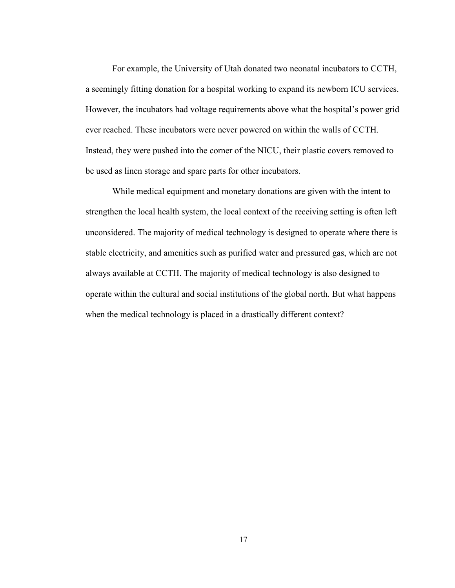For example, the University of Utah donated two neonatal incubators to CCTH, a seemingly fitting donation for a hospital working to expand its newborn ICU services. However, the incubators had voltage requirements above what the hospital's power grid ever reached. These incubators were never powered on within the walls of CCTH. Instead, they were pushed into the corner of the NICU, their plastic covers removed to be used as linen storage and spare parts for other incubators.

While medical equipment and monetary donations are given with the intent to strengthen the local health system, the local context of the receiving setting is often left unconsidered. The majority of medical technology is designed to operate where there is stable electricity, and amenities such as purified water and pressured gas, which are not always available at CCTH. The majority of medical technology is also designed to operate within the cultural and social institutions of the global north. But what happens when the medical technology is placed in a drastically different context?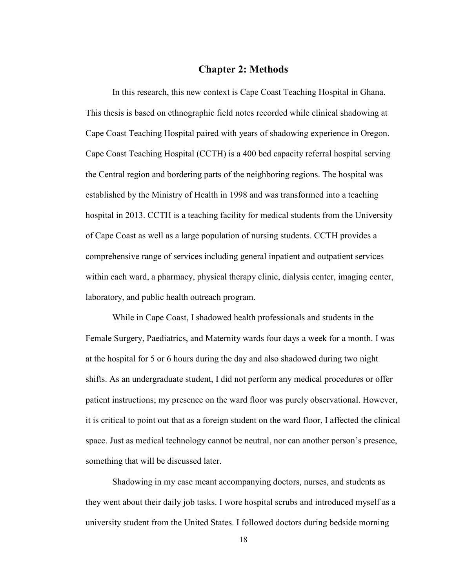## **Chapter 2: Methods**

In this research, this new context is Cape Coast Teaching Hospital in Ghana. This thesis is based on ethnographic field notes recorded while clinical shadowing at Cape Coast Teaching Hospital paired with years of shadowing experience in Oregon. Cape Coast Teaching Hospital (CCTH) is a 400 bed capacity referral hospital serving the Central region and bordering parts of the neighboring regions. The hospital was established by the Ministry of Health in 1998 and was transformed into a teaching hospital in 2013. CCTH is a teaching facility for medical students from the University of Cape Coast as well as a large population of nursing students. CCTH provides a comprehensive range of services including general inpatient and outpatient services within each ward, a pharmacy, physical therapy clinic, dialysis center, imaging center, laboratory, and public health outreach program.

While in Cape Coast, I shadowed health professionals and students in the Female Surgery, Paediatrics, and Maternity wards four days a week for a month. I was at the hospital for 5 or 6 hours during the day and also shadowed during two night shifts. As an undergraduate student, I did not perform any medical procedures or offer patient instructions; my presence on the ward floor was purely observational. However, it is critical to point out that as a foreign student on the ward floor, I affected the clinical space. Just as medical technology cannot be neutral, nor can another person's presence, something that will be discussed later.

Shadowing in my case meant accompanying doctors, nurses, and students as they went about their daily job tasks. I wore hospital scrubs and introduced myself as a university student from the United States. I followed doctors during bedside morning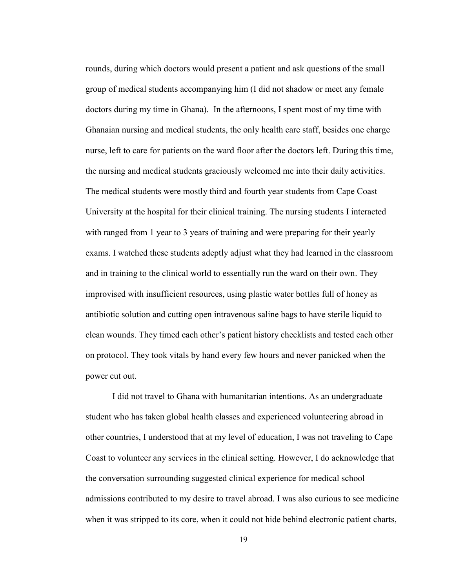rounds, during which doctors would present a patient and ask questions of the small group of medical students accompanying him (I did not shadow or meet any female doctors during my time in Ghana). In the afternoons, I spent most of my time with Ghanaian nursing and medical students, the only health care staff, besides one charge nurse, left to care for patients on the ward floor after the doctors left. During this time, the nursing and medical students graciously welcomed me into their daily activities. The medical students were mostly third and fourth year students from Cape Coast University at the hospital for their clinical training. The nursing students I interacted with ranged from 1 year to 3 years of training and were preparing for their yearly exams. I watched these students adeptly adjust what they had learned in the classroom and in training to the clinical world to essentially run the ward on their own. They improvised with insufficient resources, using plastic water bottles full of honey as antibiotic solution and cutting open intravenous saline bags to have sterile liquid to clean wounds. They timed each other's patient history checklists and tested each other on protocol. They took vitals by hand every few hours and never panicked when the power cut out.

I did not travel to Ghana with humanitarian intentions. As an undergraduate student who has taken global health classes and experienced volunteering abroad in other countries, I understood that at my level of education, I was not traveling to Cape Coast to volunteer any services in the clinical setting. However, I do acknowledge that the conversation surrounding suggested clinical experience for medical school admissions contributed to my desire to travel abroad. I was also curious to see medicine when it was stripped to its core, when it could not hide behind electronic patient charts,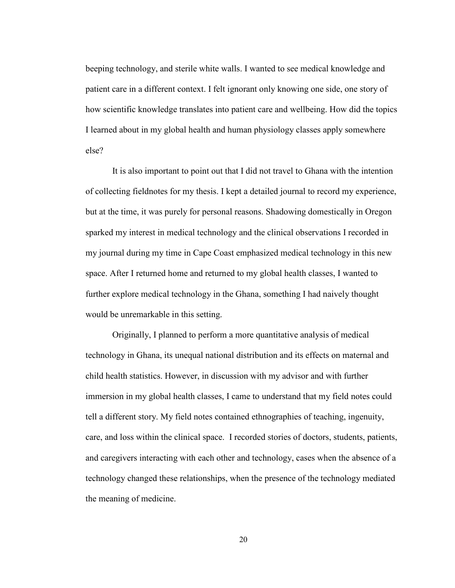beeping technology, and sterile white walls. I wanted to see medical knowledge and patient care in a different context. I felt ignorant only knowing one side, one story of how scientific knowledge translates into patient care and wellbeing. How did the topics I learned about in my global health and human physiology classes apply somewhere else?

It is also important to point out that I did not travel to Ghana with the intention of collecting fieldnotes for my thesis. I kept a detailed journal to record my experience, but at the time, it was purely for personal reasons. Shadowing domestically in Oregon sparked my interest in medical technology and the clinical observations I recorded in my journal during my time in Cape Coast emphasized medical technology in this new space. After I returned home and returned to my global health classes, I wanted to further explore medical technology in the Ghana, something I had naively thought would be unremarkable in this setting.

Originally, I planned to perform a more quantitative analysis of medical technology in Ghana, its unequal national distribution and its effects on maternal and child health statistics. However, in discussion with my advisor and with further immersion in my global health classes, I came to understand that my field notes could tell a different story. My field notes contained ethnographies of teaching, ingenuity, care, and loss within the clinical space. I recorded stories of doctors, students, patients, and caregivers interacting with each other and technology, cases when the absence of a technology changed these relationships, when the presence of the technology mediated the meaning of medicine.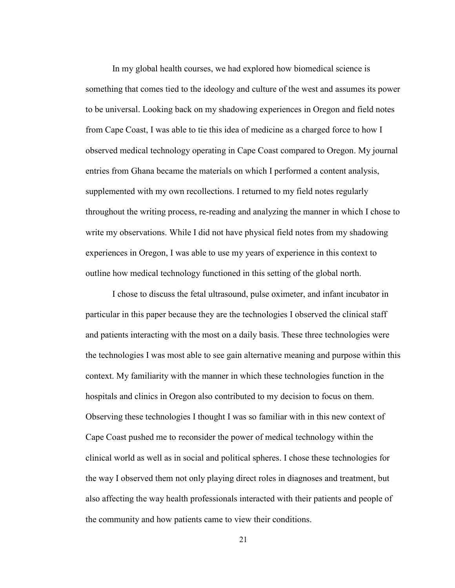In my global health courses, we had explored how biomedical science is something that comes tied to the ideology and culture of the west and assumes its power to be universal. Looking back on my shadowing experiences in Oregon and field notes from Cape Coast, I was able to tie this idea of medicine as a charged force to how I observed medical technology operating in Cape Coast compared to Oregon. My journal entries from Ghana became the materials on which I performed a content analysis, supplemented with my own recollections. I returned to my field notes regularly throughout the writing process, re-reading and analyzing the manner in which I chose to write my observations. While I did not have physical field notes from my shadowing experiences in Oregon, I was able to use my years of experience in this context to outline how medical technology functioned in this setting of the global north.

I chose to discuss the fetal ultrasound, pulse oximeter, and infant incubator in particular in this paper because they are the technologies I observed the clinical staff and patients interacting with the most on a daily basis. These three technologies were the technologies I was most able to see gain alternative meaning and purpose within this context. My familiarity with the manner in which these technologies function in the hospitals and clinics in Oregon also contributed to my decision to focus on them. Observing these technologies I thought I was so familiar with in this new context of Cape Coast pushed me to reconsider the power of medical technology within the clinical world as well as in social and political spheres. I chose these technologies for the way I observed them not only playing direct roles in diagnoses and treatment, but also affecting the way health professionals interacted with their patients and people of the community and how patients came to view their conditions.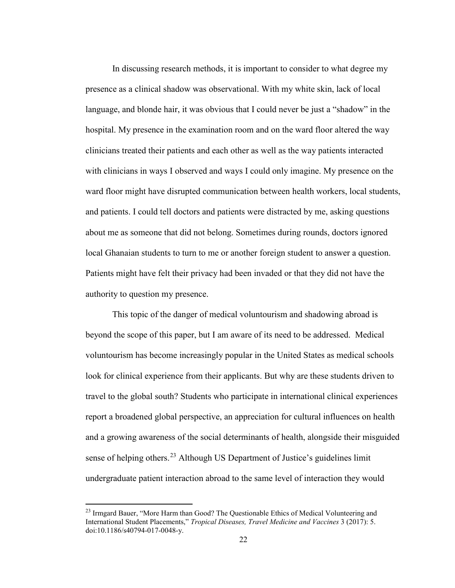In discussing research methods, it is important to consider to what degree my presence as a clinical shadow was observational. With my white skin, lack of local language, and blonde hair, it was obvious that I could never be just a "shadow" in the hospital. My presence in the examination room and on the ward floor altered the way clinicians treated their patients and each other as well as the way patients interacted with clinicians in ways I observed and ways I could only imagine. My presence on the ward floor might have disrupted communication between health workers, local students, and patients. I could tell doctors and patients were distracted by me, asking questions about me as someone that did not belong. Sometimes during rounds, doctors ignored local Ghanaian students to turn to me or another foreign student to answer a question. Patients might have felt their privacy had been invaded or that they did not have the authority to question my presence.

This topic of the danger of medical voluntourism and shadowing abroad is beyond the scope of this paper, but I am aware of its need to be addressed. Medical voluntourism has become increasingly popular in the United States as medical schools look for clinical experience from their applicants. But why are these students driven to travel to the global south? Students who participate in international clinical experiences report a broadened global perspective, an appreciation for cultural influences on health and a growing awareness of the social determinants of health, alongside their misguided sense of helping others.<sup>[23](#page-27-0)</sup> Although US Department of Justice's guidelines limit undergraduate patient interaction abroad to the same level of interaction they would

<span id="page-27-0"></span><sup>&</sup>lt;sup>23</sup> Irmgard Bauer, "More Harm than Good? The Questionable Ethics of Medical Volunteering and International Student Placements," *Tropical Diseases, Travel Medicine and Vaccines* 3 (2017): 5. doi:10.1186/s40794-017-0048-y.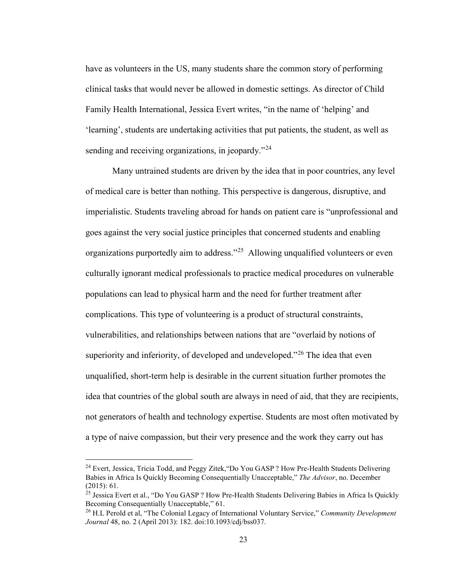have as volunteers in the US, many students share the common story of performing clinical tasks that would never be allowed in domestic settings. As director of Child Family Health International, Jessica Evert writes, "in the name of 'helping' and 'learning', students are undertaking activities that put patients, the student, as well as sending and receiving organizations, in jeopardy."<sup>[24](#page-28-0)</sup>

Many untrained students are driven by the idea that in poor countries, any level of medical care is better than nothing. This perspective is dangerous, disruptive, and imperialistic. Students traveling abroad for hands on patient care is "unprofessional and goes against the very social justice principles that concerned students and enabling organizations purportedly aim to address."<sup>[25](#page-28-1)</sup> Allowing unqualified volunteers or even culturally ignorant medical professionals to practice medical procedures on vulnerable populations can lead to physical harm and the need for further treatment after complications. This type of volunteering is a product of structural constraints, vulnerabilities, and relationships between nations that are "overlaid by notions of superiority and inferiority, of developed and undeveloped."<sup>[26](#page-28-2)</sup> The idea that even unqualified, short-term help is desirable in the current situation further promotes the idea that countries of the global south are always in need of aid, that they are recipients, not generators of health and technology expertise. Students are most often motivated by a type of naive compassion, but their very presence and the work they carry out has

<span id="page-28-0"></span><sup>24</sup> Evert, Jessica, Tricia Todd, and Peggy Zitek,"Do You GASP ? How Pre-Health Students Delivering Babies in Africa Is Quickly Becoming Consequentially Unacceptable," *The Advisor*, no. December (2015): 61.

<span id="page-28-1"></span><sup>&</sup>lt;sup>25</sup> Jessica Evert et al., "Do You GASP ? How Pre-Health Students Delivering Babies in Africa Is Quickly Becoming Consequentially Unacceptable," 61.

<span id="page-28-2"></span><sup>26</sup> H.L Perold et al, "The Colonial Legacy of International Voluntary Service," *Community Development Journal* 48, no. 2 (April 2013): 182. doi:10.1093/cdj/bss037.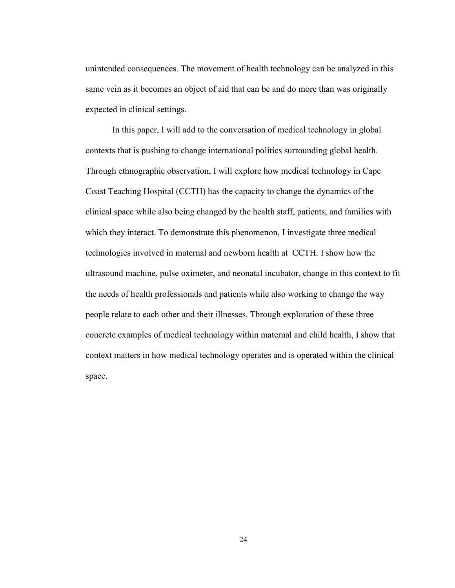unintended consequences. The movement of health technology can be analyzed in this same vein as it becomes an object of aid that can be and do more than was originally expected in clinical settings.

In this paper, I will add to the conversation of medical technology in global contexts that is pushing to change international politics surrounding global health. Through ethnographic observation, I will explore how medical technology in Cape Coast Teaching Hospital (CCTH) has the capacity to change the dynamics of the clinical space while also being changed by the health staff, patients, and families with which they interact. To demonstrate this phenomenon, I investigate three medical technologies involved in maternal and newborn health at CCTH. I show how the ultrasound machine, pulse oximeter, and neonatal incubator, change in this context to fit the needs of health professionals and patients while also working to change the way people relate to each other and their illnesses. Through exploration of these three concrete examples of medical technology within maternal and child health, I show that context matters in how medical technology operates and is operated within the clinical space.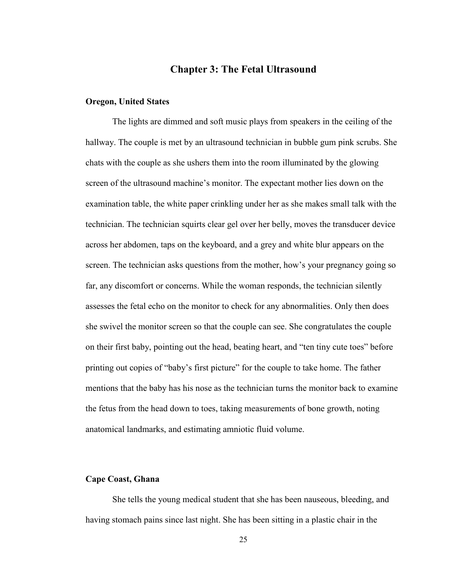# **Chapter 3: The Fetal Ultrasound**

#### **Oregon, United States**

The lights are dimmed and soft music plays from speakers in the ceiling of the hallway. The couple is met by an ultrasound technician in bubble gum pink scrubs. She chats with the couple as she ushers them into the room illuminated by the glowing screen of the ultrasound machine's monitor. The expectant mother lies down on the examination table, the white paper crinkling under her as she makes small talk with the technician. The technician squirts clear gel over her belly, moves the transducer device across her abdomen, taps on the keyboard, and a grey and white blur appears on the screen. The technician asks questions from the mother, how's your pregnancy going so far, any discomfort or concerns. While the woman responds, the technician silently assesses the fetal echo on the monitor to check for any abnormalities. Only then does she swivel the monitor screen so that the couple can see. She congratulates the couple on their first baby, pointing out the head, beating heart, and "ten tiny cute toes" before printing out copies of "baby's first picture" for the couple to take home. The father mentions that the baby has his nose as the technician turns the monitor back to examine the fetus from the head down to toes, taking measurements of bone growth, noting anatomical landmarks, and estimating amniotic fluid volume.

#### **Cape Coast, Ghana**

She tells the young medical student that she has been nauseous, bleeding, and having stomach pains since last night. She has been sitting in a plastic chair in the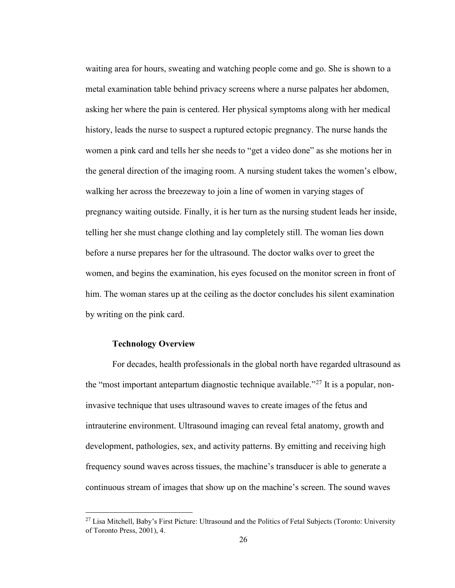waiting area for hours, sweating and watching people come and go. She is shown to a metal examination table behind privacy screens where a nurse palpates her abdomen, asking her where the pain is centered. Her physical symptoms along with her medical history, leads the nurse to suspect a ruptured ectopic pregnancy. The nurse hands the women a pink card and tells her she needs to "get a video done" as she motions her in the general direction of the imaging room. A nursing student takes the women's elbow, walking her across the breezeway to join a line of women in varying stages of pregnancy waiting outside. Finally, it is her turn as the nursing student leads her inside, telling her she must change clothing and lay completely still. The woman lies down before a nurse prepares her for the ultrasound. The doctor walks over to greet the women, and begins the examination, his eyes focused on the monitor screen in front of him. The woman stares up at the ceiling as the doctor concludes his silent examination by writing on the pink card.

#### **Technology Overview**

For decades, health professionals in the global north have regarded ultrasound as the "most important antepartum diagnostic technique available."<sup>[27](#page-31-0)</sup> It is a popular, noninvasive technique that uses ultrasound waves to create images of the fetus and intrauterine environment. Ultrasound imaging can reveal fetal anatomy, growth and development, pathologies, sex, and activity patterns. By emitting and receiving high frequency sound waves across tissues, the machine's transducer is able to generate a continuous stream of images that show up on the machine's screen. The sound waves

<span id="page-31-0"></span><sup>&</sup>lt;sup>27</sup> Lisa Mitchell, Baby's First Picture: Ultrasound and the Politics of Fetal Subjects (Toronto: University of Toronto Press, 2001), 4.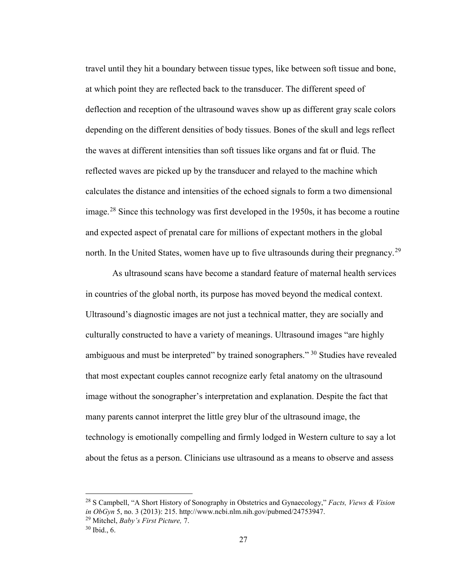travel until they hit a boundary between tissue types, like between soft tissue and bone, at which point they are reflected back to the transducer. The different speed of deflection and reception of the ultrasound waves show up as different gray scale colors depending on the different densities of body tissues. Bones of the skull and legs reflect the waves at different intensities than soft tissues like organs and fat or fluid. The reflected waves are picked up by the transducer and relayed to the machine which calculates the distance and intensities of the echoed signals to form a two dimensional image.<sup>[28](#page-32-0)</sup> Since this technology was first developed in the 1950s, it has become a routine and expected aspect of prenatal care for millions of expectant mothers in the global north. In the United States, women have up to five ultrasounds during their pregnancy.<sup>[29](#page-32-1)</sup>

As ultrasound scans have become a standard feature of maternal health services in countries of the global north, its purpose has moved beyond the medical context. Ultrasound's diagnostic images are not just a technical matter, they are socially and culturally constructed to have a variety of meanings. Ultrasound images "are highly ambiguous and must be interpreted" by trained sonographers." <sup>[30](#page-32-2)</sup> Studies have revealed that most expectant couples cannot recognize early fetal anatomy on the ultrasound image without the sonographer's interpretation and explanation. Despite the fact that many parents cannot interpret the little grey blur of the ultrasound image, the technology is emotionally compelling and firmly lodged in Western culture to say a lot about the fetus as a person. Clinicians use ultrasound as a means to observe and assess

<span id="page-32-0"></span><sup>28</sup> S Campbell, "A Short History of Sonography in Obstetrics and Gynaecology," *Facts, Views & Vision in ObGyn* 5, no. 3 (2013): 215. http://www.ncbi.nlm.nih.gov/pubmed/24753947.

<sup>29</sup> Mitchel, *Baby's First Picture,* 7.

<span id="page-32-2"></span><span id="page-32-1"></span><sup>30</sup> Ibid., 6.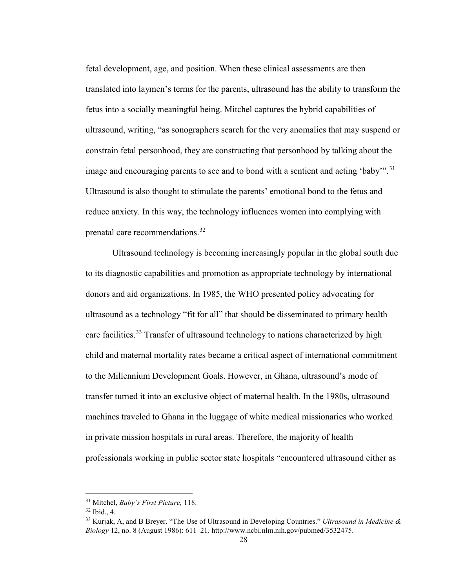fetal development, age, and position. When these clinical assessments are then translated into laymen's terms for the parents, ultrasound has the ability to transform the fetus into a socially meaningful being. Mitchel captures the hybrid capabilities of ultrasound, writing, "as sonographers search for the very anomalies that may suspend or constrain fetal personhood, they are constructing that personhood by talking about the image and encouraging parents to see and to bond with a sentient and acting 'baby'".<sup>[31](#page-33-0)</sup> Ultrasound is also thought to stimulate the parents' emotional bond to the fetus and reduce anxiety. In this way, the technology influences women into complying with prenatal care recommendations.[32](#page-33-1)

Ultrasound technology is becoming increasingly popular in the global south due to its diagnostic capabilities and promotion as appropriate technology by international donors and aid organizations. In 1985, the WHO presented policy advocating for ultrasound as a technology "fit for all" that should be disseminated to primary health care facilities.<sup>[33](#page-33-2)</sup> Transfer of ultrasound technology to nations characterized by high child and maternal mortality rates became a critical aspect of international commitment to the Millennium Development Goals. However, in Ghana, ultrasound's mode of transfer turned it into an exclusive object of maternal health. In the 1980s, ultrasound machines traveled to Ghana in the luggage of white medical missionaries who worked in private mission hospitals in rural areas. Therefore, the majority of health professionals working in public sector state hospitals "encountered ultrasound either as

<span id="page-33-0"></span><sup>31</sup> Mitchel, *Baby's First Picture,* 118.

<span id="page-33-1"></span><sup>32</sup> Ibid., 4.

<span id="page-33-2"></span><sup>33</sup> Kurjak, A, and B Breyer. "The Use of Ultrasound in Developing Countries." *Ultrasound in Medicine & Biology* 12, no. 8 (August 1986): 611–21. http://www.ncbi.nlm.nih.gov/pubmed/3532475.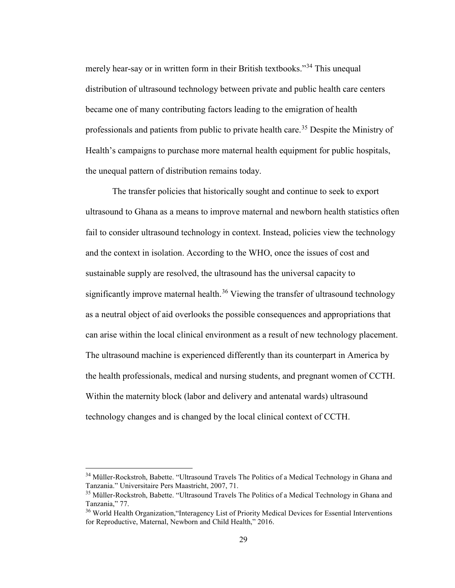merely hear-say or in written form in their British textbooks."[34](#page-34-0) This unequal distribution of ultrasound technology between private and public health care centers became one of many contributing factors leading to the emigration of health professionals and patients from public to private health care.<sup>[35](#page-34-1)</sup> Despite the Ministry of Health's campaigns to purchase more maternal health equipment for public hospitals, the unequal pattern of distribution remains today.

The transfer policies that historically sought and continue to seek to export ultrasound to Ghana as a means to improve maternal and newborn health statistics often fail to consider ultrasound technology in context. Instead, policies view the technology and the context in isolation. According to the WHO, once the issues of cost and sustainable supply are resolved, the ultrasound has the universal capacity to significantly improve maternal health.<sup>[36](#page-34-2)</sup> Viewing the transfer of ultrasound technology as a neutral object of aid overlooks the possible consequences and appropriations that can arise within the local clinical environment as a result of new technology placement. The ultrasound machine is experienced differently than its counterpart in America by the health professionals, medical and nursing students, and pregnant women of CCTH. Within the maternity block (labor and delivery and antenatal wards) ultrasound technology changes and is changed by the local clinical context of CCTH.

<span id="page-34-0"></span><sup>&</sup>lt;sup>34</sup> Müller-Rockstroh, Babette. "Ultrasound Travels The Politics of a Medical Technology in Ghana and Tanzania." Universitaire Pers Maastricht, 2007, 71.

<span id="page-34-1"></span><sup>&</sup>lt;sup>35</sup> Müller-Rockstroh, Babette. "Ultrasound Travels The Politics of a Medical Technology in Ghana and Tanzania," 77.

<span id="page-34-2"></span><sup>&</sup>lt;sup>36</sup> World Health Organization, "Interagency List of Priority Medical Devices for Essential Interventions for Reproductive, Maternal, Newborn and Child Health," 2016.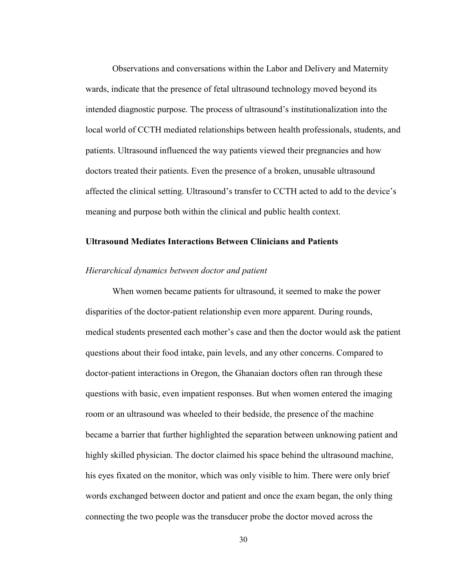Observations and conversations within the Labor and Delivery and Maternity wards, indicate that the presence of fetal ultrasound technology moved beyond its intended diagnostic purpose. The process of ultrasound's institutionalization into the local world of CCTH mediated relationships between health professionals, students, and patients. Ultrasound influenced the way patients viewed their pregnancies and how doctors treated their patients. Even the presence of a broken, unusable ultrasound affected the clinical setting. Ultrasound's transfer to CCTH acted to add to the device's meaning and purpose both within the clinical and public health context.

#### **Ultrasound Mediates Interactions Between Clinicians and Patients**

#### *Hierarchical dynamics between doctor and patient*

When women became patients for ultrasound, it seemed to make the power disparities of the doctor-patient relationship even more apparent. During rounds, medical students presented each mother's case and then the doctor would ask the patient questions about their food intake, pain levels, and any other concerns. Compared to doctor-patient interactions in Oregon, the Ghanaian doctors often ran through these questions with basic, even impatient responses. But when women entered the imaging room or an ultrasound was wheeled to their bedside, the presence of the machine became a barrier that further highlighted the separation between unknowing patient and highly skilled physician. The doctor claimed his space behind the ultrasound machine, his eyes fixated on the monitor, which was only visible to him. There were only brief words exchanged between doctor and patient and once the exam began, the only thing connecting the two people was the transducer probe the doctor moved across the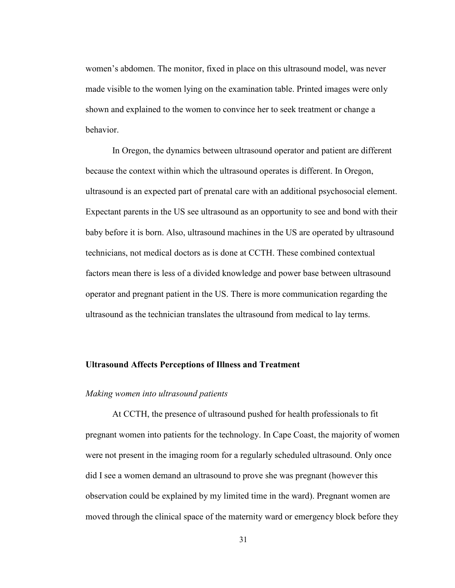women's abdomen. The monitor, fixed in place on this ultrasound model, was never made visible to the women lying on the examination table. Printed images were only shown and explained to the women to convince her to seek treatment or change a behavior.

In Oregon, the dynamics between ultrasound operator and patient are different because the context within which the ultrasound operates is different. In Oregon, ultrasound is an expected part of prenatal care with an additional psychosocial element. Expectant parents in the US see ultrasound as an opportunity to see and bond with their baby before it is born. Also, ultrasound machines in the US are operated by ultrasound technicians, not medical doctors as is done at CCTH. These combined contextual factors mean there is less of a divided knowledge and power base between ultrasound operator and pregnant patient in the US. There is more communication regarding the ultrasound as the technician translates the ultrasound from medical to lay terms.

## **Ultrasound Affects Perceptions of Illness and Treatment**

## *Making women into ultrasound patients*

At CCTH, the presence of ultrasound pushed for health professionals to fit pregnant women into patients for the technology. In Cape Coast, the majority of women were not present in the imaging room for a regularly scheduled ultrasound. Only once did I see a women demand an ultrasound to prove she was pregnant (however this observation could be explained by my limited time in the ward). Pregnant women are moved through the clinical space of the maternity ward or emergency block before they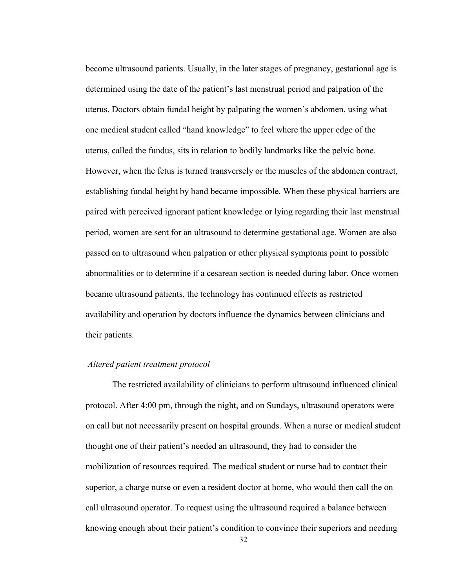become ultrasound patients. Usually, in the later stages of pregnancy, gestational age is determined using the date of the patient's last menstrual period and palpation of the uterus. Doctors obtain fundal height by palpating the women's abdomen, using what one medical student called "hand knowledge" to feel where the upper edge of the uterus, called the fundus, sits in relation to bodily landmarks like the pelvic bone. However, when the fetus is turned transversely or the muscles of the abdomen contract, establishing fundal height by hand became impossible. When these physical barriers are paired with perceived ignorant patient knowledge or lying regarding their last menstrual period, women are sent for an ultrasound to determine gestational age. Women are also passed on to ultrasound when palpation or other physical symptoms point to possible abnormalities or to determine if a cesarean section is needed during labor. Once women became ultrasound patients, the technology has continued effects as restricted availability and operation by doctors influence the dynamics between clinicians and their patients.

## *Altered patient treatment protocol*

The restricted availability of clinicians to perform ultrasound influenced clinical protocol. After 4:00 pm, through the night, and on Sundays, ultrasound operators were on call but not necessarily present on hospital grounds. When a nurse or medical student thought one of their patient's needed an ultrasound, they had to consider the mobilization of resources required. The medical student or nurse had to contact their superior, a charge nurse or even a resident doctor at home, who would then call the on call ultrasound operator. To request using the ultrasound required a balance between knowing enough about their patient's condition to convince their superiors and needing

32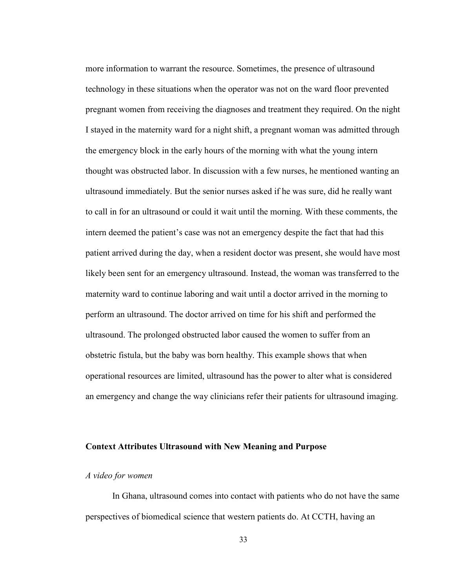more information to warrant the resource. Sometimes, the presence of ultrasound technology in these situations when the operator was not on the ward floor prevented pregnant women from receiving the diagnoses and treatment they required. On the night I stayed in the maternity ward for a night shift, a pregnant woman was admitted through the emergency block in the early hours of the morning with what the young intern thought was obstructed labor. In discussion with a few nurses, he mentioned wanting an ultrasound immediately. But the senior nurses asked if he was sure, did he really want to call in for an ultrasound or could it wait until the morning. With these comments, the intern deemed the patient's case was not an emergency despite the fact that had this patient arrived during the day, when a resident doctor was present, she would have most likely been sent for an emergency ultrasound. Instead, the woman was transferred to the maternity ward to continue laboring and wait until a doctor arrived in the morning to perform an ultrasound. The doctor arrived on time for his shift and performed the ultrasound. The prolonged obstructed labor caused the women to suffer from an obstetric fistula, but the baby was born healthy. This example shows that when operational resources are limited, ultrasound has the power to alter what is considered an emergency and change the way clinicians refer their patients for ultrasound imaging.

#### **Context Attributes Ultrasound with New Meaning and Purpose**

## *A video for women*

In Ghana, ultrasound comes into contact with patients who do not have the same perspectives of biomedical science that western patients do. At CCTH, having an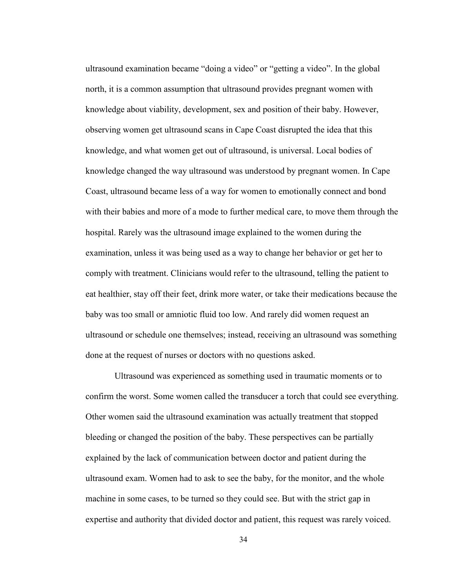ultrasound examination became "doing a video" or "getting a video". In the global north, it is a common assumption that ultrasound provides pregnant women with knowledge about viability, development, sex and position of their baby. However, observing women get ultrasound scans in Cape Coast disrupted the idea that this knowledge, and what women get out of ultrasound, is universal. Local bodies of knowledge changed the way ultrasound was understood by pregnant women. In Cape Coast, ultrasound became less of a way for women to emotionally connect and bond with their babies and more of a mode to further medical care, to move them through the hospital. Rarely was the ultrasound image explained to the women during the examination, unless it was being used as a way to change her behavior or get her to comply with treatment. Clinicians would refer to the ultrasound, telling the patient to eat healthier, stay off their feet, drink more water, or take their medications because the baby was too small or amniotic fluid too low. And rarely did women request an ultrasound or schedule one themselves; instead, receiving an ultrasound was something done at the request of nurses or doctors with no questions asked.

Ultrasound was experienced as something used in traumatic moments or to confirm the worst. Some women called the transducer a torch that could see everything. Other women said the ultrasound examination was actually treatment that stopped bleeding or changed the position of the baby. These perspectives can be partially explained by the lack of communication between doctor and patient during the ultrasound exam. Women had to ask to see the baby, for the monitor, and the whole machine in some cases, to be turned so they could see. But with the strict gap in expertise and authority that divided doctor and patient, this request was rarely voiced.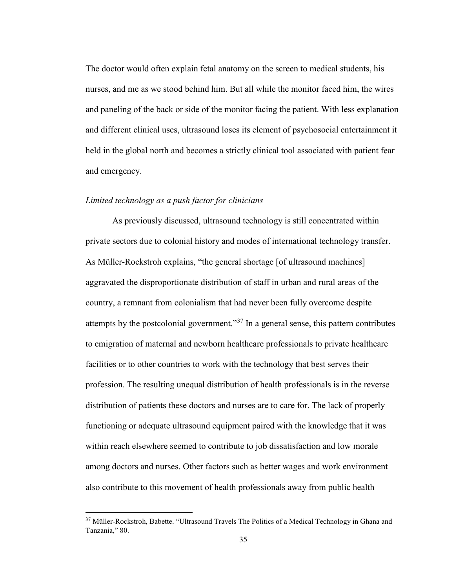The doctor would often explain fetal anatomy on the screen to medical students, his nurses, and me as we stood behind him. But all while the monitor faced him, the wires and paneling of the back or side of the monitor facing the patient. With less explanation and different clinical uses, ultrasound loses its element of psychosocial entertainment it held in the global north and becomes a strictly clinical tool associated with patient fear and emergency.

## *Limited technology as a push factor for clinicians*

As previously discussed, ultrasound technology is still concentrated within private sectors due to colonial history and modes of international technology transfer. As Müller-Rockstroh explains, "the general shortage [of ultrasound machines] aggravated the disproportionate distribution of staff in urban and rural areas of the country, a remnant from colonialism that had never been fully overcome despite attempts by the postcolonial government."<sup>[37](#page-40-0)</sup> In a general sense, this pattern contributes to emigration of maternal and newborn healthcare professionals to private healthcare facilities or to other countries to work with the technology that best serves their profession. The resulting unequal distribution of health professionals is in the reverse distribution of patients these doctors and nurses are to care for. The lack of properly functioning or adequate ultrasound equipment paired with the knowledge that it was within reach elsewhere seemed to contribute to job dissatisfaction and low morale among doctors and nurses. Other factors such as better wages and work environment also contribute to this movement of health professionals away from public health

<span id="page-40-0"></span><sup>&</sup>lt;sup>37</sup> Müller-Rockstroh, Babette. "Ultrasound Travels The Politics of a Medical Technology in Ghana and Tanzania," 80.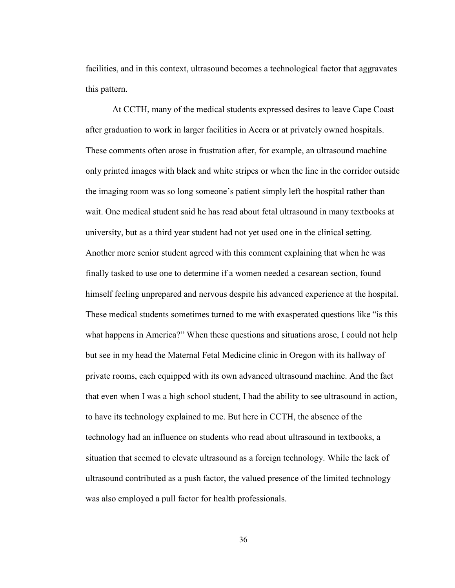facilities, and in this context, ultrasound becomes a technological factor that aggravates this pattern.

At CCTH, many of the medical students expressed desires to leave Cape Coast after graduation to work in larger facilities in Accra or at privately owned hospitals. These comments often arose in frustration after, for example, an ultrasound machine only printed images with black and white stripes or when the line in the corridor outside the imaging room was so long someone's patient simply left the hospital rather than wait. One medical student said he has read about fetal ultrasound in many textbooks at university, but as a third year student had not yet used one in the clinical setting. Another more senior student agreed with this comment explaining that when he was finally tasked to use one to determine if a women needed a cesarean section, found himself feeling unprepared and nervous despite his advanced experience at the hospital. These medical students sometimes turned to me with exasperated questions like "is this what happens in America?" When these questions and situations arose, I could not help but see in my head the Maternal Fetal Medicine clinic in Oregon with its hallway of private rooms, each equipped with its own advanced ultrasound machine. And the fact that even when I was a high school student, I had the ability to see ultrasound in action, to have its technology explained to me. But here in CCTH, the absence of the technology had an influence on students who read about ultrasound in textbooks, a situation that seemed to elevate ultrasound as a foreign technology. While the lack of ultrasound contributed as a push factor, the valued presence of the limited technology was also employed a pull factor for health professionals.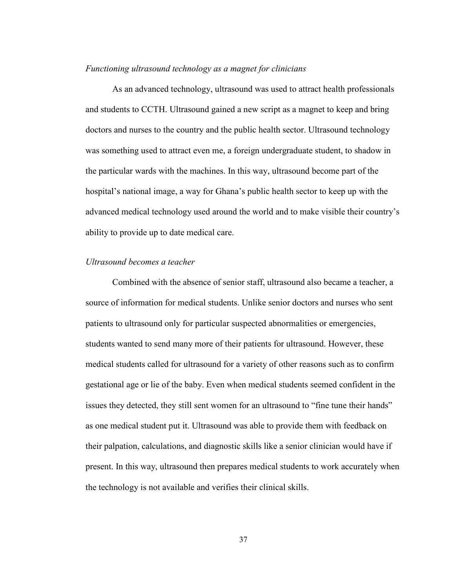#### *Functioning ultrasound technology as a magnet for clinicians*

As an advanced technology, ultrasound was used to attract health professionals and students to CCTH. Ultrasound gained a new script as a magnet to keep and bring doctors and nurses to the country and the public health sector. Ultrasound technology was something used to attract even me, a foreign undergraduate student, to shadow in the particular wards with the machines. In this way, ultrasound become part of the hospital's national image, a way for Ghana's public health sector to keep up with the advanced medical technology used around the world and to make visible their country's ability to provide up to date medical care.

# *Ultrasound becomes a teacher*

Combined with the absence of senior staff, ultrasound also became a teacher, a source of information for medical students. Unlike senior doctors and nurses who sent patients to ultrasound only for particular suspected abnormalities or emergencies, students wanted to send many more of their patients for ultrasound. However, these medical students called for ultrasound for a variety of other reasons such as to confirm gestational age or lie of the baby. Even when medical students seemed confident in the issues they detected, they still sent women for an ultrasound to "fine tune their hands" as one medical student put it. Ultrasound was able to provide them with feedback on their palpation, calculations, and diagnostic skills like a senior clinician would have if present. In this way, ultrasound then prepares medical students to work accurately when the technology is not available and verifies their clinical skills.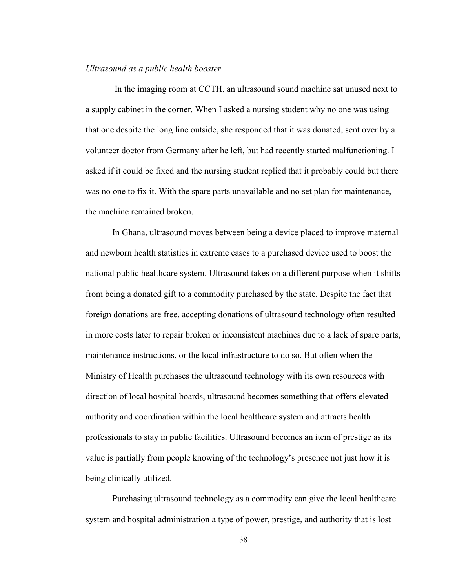#### *Ultrasound as a public health booster*

In the imaging room at CCTH, an ultrasound sound machine sat unused next to a supply cabinet in the corner. When I asked a nursing student why no one was using that one despite the long line outside, she responded that it was donated, sent over by a volunteer doctor from Germany after he left, but had recently started malfunctioning. I asked if it could be fixed and the nursing student replied that it probably could but there was no one to fix it. With the spare parts unavailable and no set plan for maintenance, the machine remained broken.

In Ghana, ultrasound moves between being a device placed to improve maternal and newborn health statistics in extreme cases to a purchased device used to boost the national public healthcare system. Ultrasound takes on a different purpose when it shifts from being a donated gift to a commodity purchased by the state. Despite the fact that foreign donations are free, accepting donations of ultrasound technology often resulted in more costs later to repair broken or inconsistent machines due to a lack of spare parts, maintenance instructions, or the local infrastructure to do so. But often when the Ministry of Health purchases the ultrasound technology with its own resources with direction of local hospital boards, ultrasound becomes something that offers elevated authority and coordination within the local healthcare system and attracts health professionals to stay in public facilities. Ultrasound becomes an item of prestige as its value is partially from people knowing of the technology's presence not just how it is being clinically utilized.

Purchasing ultrasound technology as a commodity can give the local healthcare system and hospital administration a type of power, prestige, and authority that is lost

38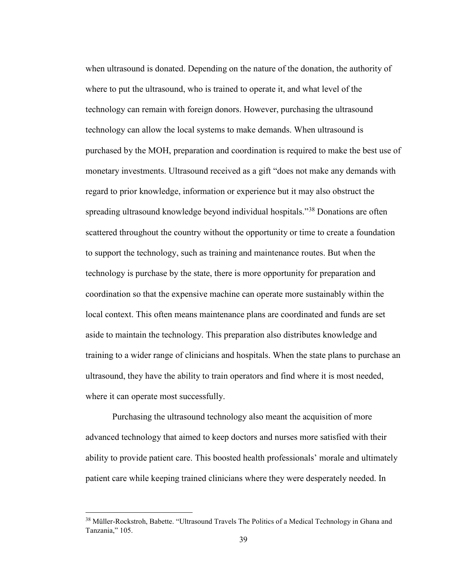when ultrasound is donated. Depending on the nature of the donation, the authority of where to put the ultrasound, who is trained to operate it, and what level of the technology can remain with foreign donors. However, purchasing the ultrasound technology can allow the local systems to make demands. When ultrasound is purchased by the MOH, preparation and coordination is required to make the best use of monetary investments. Ultrasound received as a gift "does not make any demands with regard to prior knowledge, information or experience but it may also obstruct the spreading ultrasound knowledge beyond individual hospitals."[38](#page-44-0) Donations are often scattered throughout the country without the opportunity or time to create a foundation to support the technology, such as training and maintenance routes. But when the technology is purchase by the state, there is more opportunity for preparation and coordination so that the expensive machine can operate more sustainably within the local context. This often means maintenance plans are coordinated and funds are set aside to maintain the technology. This preparation also distributes knowledge and training to a wider range of clinicians and hospitals. When the state plans to purchase an ultrasound, they have the ability to train operators and find where it is most needed, where it can operate most successfully.

Purchasing the ultrasound technology also meant the acquisition of more advanced technology that aimed to keep doctors and nurses more satisfied with their ability to provide patient care. This boosted health professionals' morale and ultimately patient care while keeping trained clinicians where they were desperately needed. In

<span id="page-44-0"></span><sup>&</sup>lt;sup>38</sup> Müller-Rockstroh, Babette. "Ultrasound Travels The Politics of a Medical Technology in Ghana and Tanzania," 105.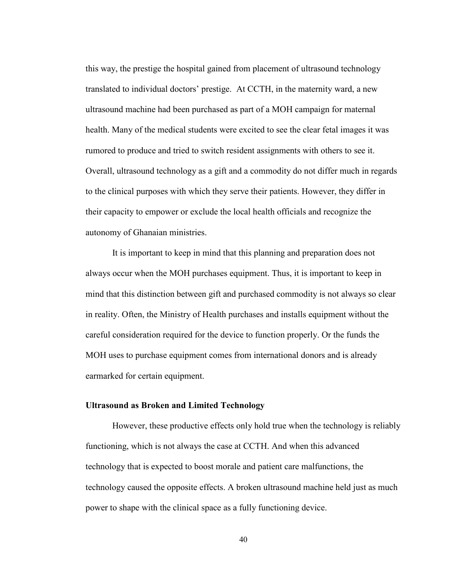this way, the prestige the hospital gained from placement of ultrasound technology translated to individual doctors' prestige. At CCTH, in the maternity ward, a new ultrasound machine had been purchased as part of a MOH campaign for maternal health. Many of the medical students were excited to see the clear fetal images it was rumored to produce and tried to switch resident assignments with others to see it. Overall, ultrasound technology as a gift and a commodity do not differ much in regards to the clinical purposes with which they serve their patients. However, they differ in their capacity to empower or exclude the local health officials and recognize the autonomy of Ghanaian ministries.

It is important to keep in mind that this planning and preparation does not always occur when the MOH purchases equipment. Thus, it is important to keep in mind that this distinction between gift and purchased commodity is not always so clear in reality. Often, the Ministry of Health purchases and installs equipment without the careful consideration required for the device to function properly. Or the funds the MOH uses to purchase equipment comes from international donors and is already earmarked for certain equipment.

## **Ultrasound as Broken and Limited Technology**

However, these productive effects only hold true when the technology is reliably functioning, which is not always the case at CCTH. And when this advanced technology that is expected to boost morale and patient care malfunctions, the technology caused the opposite effects. A broken ultrasound machine held just as much power to shape with the clinical space as a fully functioning device.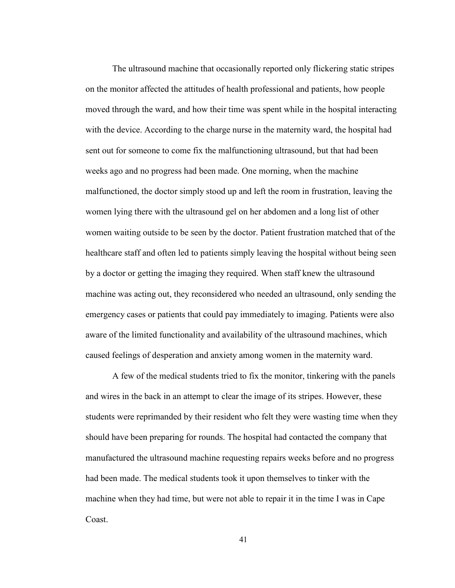The ultrasound machine that occasionally reported only flickering static stripes on the monitor affected the attitudes of health professional and patients, how people moved through the ward, and how their time was spent while in the hospital interacting with the device. According to the charge nurse in the maternity ward, the hospital had sent out for someone to come fix the malfunctioning ultrasound, but that had been weeks ago and no progress had been made. One morning, when the machine malfunctioned, the doctor simply stood up and left the room in frustration, leaving the women lying there with the ultrasound gel on her abdomen and a long list of other women waiting outside to be seen by the doctor. Patient frustration matched that of the healthcare staff and often led to patients simply leaving the hospital without being seen by a doctor or getting the imaging they required. When staff knew the ultrasound machine was acting out, they reconsidered who needed an ultrasound, only sending the emergency cases or patients that could pay immediately to imaging. Patients were also aware of the limited functionality and availability of the ultrasound machines, which caused feelings of desperation and anxiety among women in the maternity ward.

A few of the medical students tried to fix the monitor, tinkering with the panels and wires in the back in an attempt to clear the image of its stripes. However, these students were reprimanded by their resident who felt they were wasting time when they should have been preparing for rounds. The hospital had contacted the company that manufactured the ultrasound machine requesting repairs weeks before and no progress had been made. The medical students took it upon themselves to tinker with the machine when they had time, but were not able to repair it in the time I was in Cape Coast.

41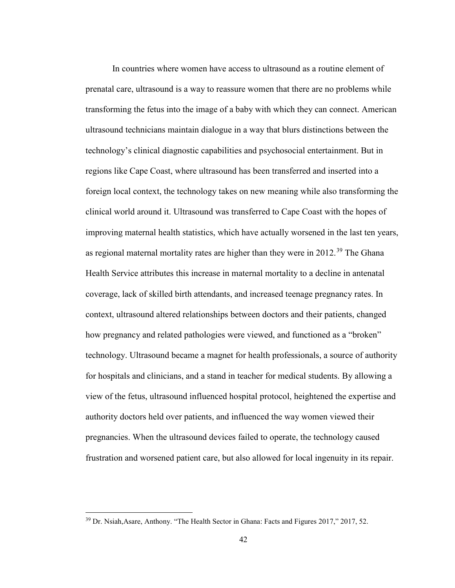In countries where women have access to ultrasound as a routine element of prenatal care, ultrasound is a way to reassure women that there are no problems while transforming the fetus into the image of a baby with which they can connect. American ultrasound technicians maintain dialogue in a way that blurs distinctions between the technology's clinical diagnostic capabilities and psychosocial entertainment. But in regions like Cape Coast, where ultrasound has been transferred and inserted into a foreign local context, the technology takes on new meaning while also transforming the clinical world around it. Ultrasound was transferred to Cape Coast with the hopes of improving maternal health statistics, which have actually worsened in the last ten years, as regional maternal mortality rates are higher than they were in  $2012<sup>39</sup>$  $2012<sup>39</sup>$  $2012<sup>39</sup>$  The Ghana Health Service attributes this increase in maternal mortality to a decline in antenatal coverage, lack of skilled birth attendants, and increased teenage pregnancy rates. In context, ultrasound altered relationships between doctors and their patients, changed how pregnancy and related pathologies were viewed, and functioned as a "broken" technology. Ultrasound became a magnet for health professionals, a source of authority for hospitals and clinicians, and a stand in teacher for medical students. By allowing a view of the fetus, ultrasound influenced hospital protocol, heightened the expertise and authority doctors held over patients, and influenced the way women viewed their pregnancies. When the ultrasound devices failed to operate, the technology caused frustration and worsened patient care, but also allowed for local ingenuity in its repair.

<span id="page-47-0"></span><sup>&</sup>lt;sup>39</sup> Dr. Nsiah, Asare, Anthony. "The Health Sector in Ghana: Facts and Figures 2017," 2017, 52.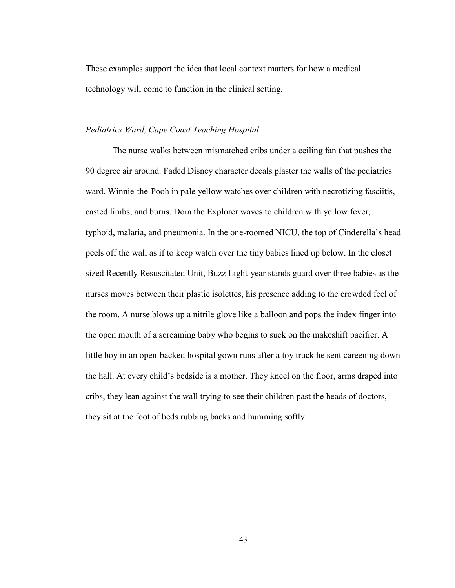These examples support the idea that local context matters for how a medical technology will come to function in the clinical setting.

## *Pediatrics Ward, Cape Coast Teaching Hospital*

The nurse walks between mismatched cribs under a ceiling fan that pushes the 90 degree air around. Faded Disney character decals plaster the walls of the pediatrics ward. Winnie-the-Pooh in pale yellow watches over children with necrotizing fasciitis, casted limbs, and burns. Dora the Explorer waves to children with yellow fever, typhoid, malaria, and pneumonia. In the one-roomed NICU, the top of Cinderella's head peels off the wall as if to keep watch over the tiny babies lined up below. In the closet sized Recently Resuscitated Unit, Buzz Light-year stands guard over three babies as the nurses moves between their plastic isolettes, his presence adding to the crowded feel of the room. A nurse blows up a nitrile glove like a balloon and pops the index finger into the open mouth of a screaming baby who begins to suck on the makeshift pacifier. A little boy in an open-backed hospital gown runs after a toy truck he sent careening down the hall. At every child's bedside is a mother. They kneel on the floor, arms draped into cribs, they lean against the wall trying to see their children past the heads of doctors, they sit at the foot of beds rubbing backs and humming softly.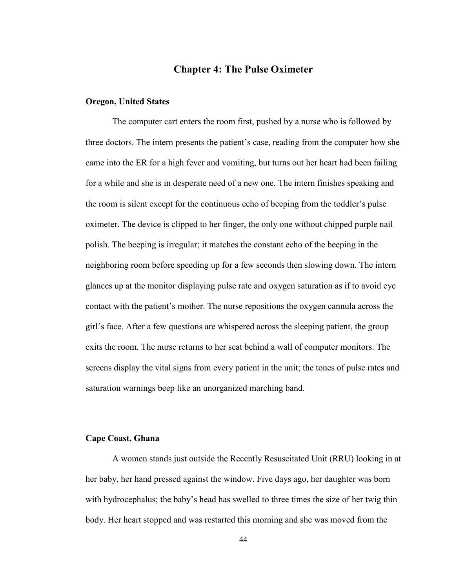# **Chapter 4: The Pulse Oximeter**

#### **Oregon, United States**

The computer cart enters the room first, pushed by a nurse who is followed by three doctors. The intern presents the patient's case, reading from the computer how she came into the ER for a high fever and vomiting, but turns out her heart had been failing for a while and she is in desperate need of a new one. The intern finishes speaking and the room is silent except for the continuous echo of beeping from the toddler's pulse oximeter. The device is clipped to her finger, the only one without chipped purple nail polish. The beeping is irregular; it matches the constant echo of the beeping in the neighboring room before speeding up for a few seconds then slowing down. The intern glances up at the monitor displaying pulse rate and oxygen saturation as if to avoid eye contact with the patient's mother. The nurse repositions the oxygen cannula across the girl's face. After a few questions are whispered across the sleeping patient, the group exits the room. The nurse returns to her seat behind a wall of computer monitors. The screens display the vital signs from every patient in the unit; the tones of pulse rates and saturation warnings beep like an unorganized marching band.

# **Cape Coast, Ghana**

A women stands just outside the Recently Resuscitated Unit (RRU) looking in at her baby, her hand pressed against the window. Five days ago, her daughter was born with hydrocephalus; the baby's head has swelled to three times the size of her twig thin body. Her heart stopped and was restarted this morning and she was moved from the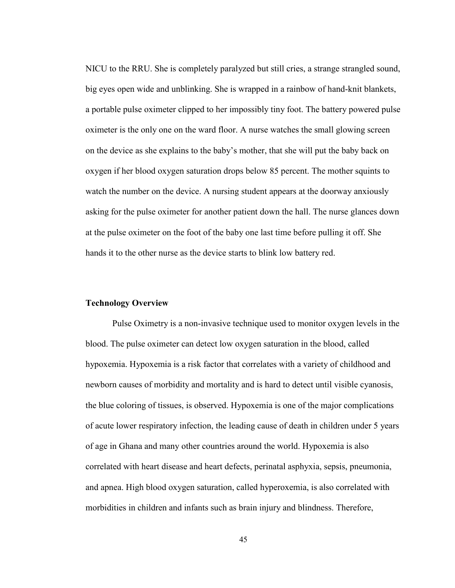NICU to the RRU. She is completely paralyzed but still cries, a strange strangled sound, big eyes open wide and unblinking. She is wrapped in a rainbow of hand-knit blankets, a portable pulse oximeter clipped to her impossibly tiny foot. The battery powered pulse oximeter is the only one on the ward floor. A nurse watches the small glowing screen on the device as she explains to the baby's mother, that she will put the baby back on oxygen if her blood oxygen saturation drops below 85 percent. The mother squints to watch the number on the device. A nursing student appears at the doorway anxiously asking for the pulse oximeter for another patient down the hall. The nurse glances down at the pulse oximeter on the foot of the baby one last time before pulling it off. She hands it to the other nurse as the device starts to blink low battery red.

# **Technology Overview**

Pulse Oximetry is a non-invasive technique used to monitor oxygen levels in the blood. The pulse oximeter can detect low oxygen saturation in the blood, called hypoxemia. Hypoxemia is a risk factor that correlates with a variety of childhood and newborn causes of morbidity and mortality and is hard to detect until visible cyanosis, the blue coloring of tissues, is observed. Hypoxemia is one of the major complications of acute lower respiratory infection, the leading cause of death in children under 5 years of age in Ghana and many other countries around the world. Hypoxemia is also correlated with heart disease and heart defects, perinatal asphyxia, sepsis, pneumonia, and apnea. High blood oxygen saturation, called hyperoxemia, is also correlated with morbidities in children and infants such as brain injury and blindness. Therefore,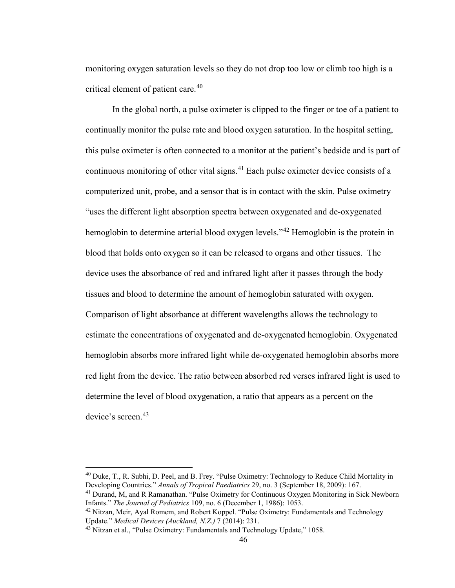monitoring oxygen saturation levels so they do not drop too low or climb too high is a critical element of patient care.<sup>[40](#page-51-0)</sup>

In the global north, a pulse oximeter is clipped to the finger or toe of a patient to continually monitor the pulse rate and blood oxygen saturation. In the hospital setting, this pulse oximeter is often connected to a monitor at the patient's bedside and is part of continuous monitoring of other vital signs.<sup>[41](#page-51-1)</sup> Each pulse oximeter device consists of a computerized unit, probe, and a sensor that is in contact with the skin. Pulse oximetry "uses the different light absorption spectra between oxygenated and de-oxygenated hemoglobin to determine arterial blood oxygen levels."[42](#page-51-2) Hemoglobin is the protein in blood that holds onto oxygen so it can be released to organs and other tissues. The device uses the absorbance of red and infrared light after it passes through the body tissues and blood to determine the amount of hemoglobin saturated with oxygen. Comparison of light absorbance at different wavelengths allows the technology to estimate the concentrations of oxygenated and de-oxygenated hemoglobin. Oxygenated hemoglobin absorbs more infrared light while de-oxygenated hemoglobin absorbs more red light from the device. The ratio between absorbed red verses infrared light is used to determine the level of blood oxygenation, a ratio that appears as a percent on the device's screen.<sup>[43](#page-51-3)</sup>

<span id="page-51-0"></span><sup>40</sup> Duke, T., R. Subhi, D. Peel, and B. Frey. "Pulse Oximetry: Technology to Reduce Child Mortality in Developing Countries." *Annals of Tropical Paediatrics* 29, no. 3 (September 18, 2009): 167.

<span id="page-51-1"></span><sup>&</sup>lt;sup>41</sup> Durand, M, and R Ramanathan. "Pulse Oximetry for Continuous Oxygen Monitoring in Sick Newborn Infants." *The Journal of Pediatrics* 109, no. 6 (December 1, 1986): 1053.

<span id="page-51-2"></span><sup>&</sup>lt;sup>42</sup> Nitzan, Meir, Ayal Romem, and Robert Koppel. "Pulse Oximetry: Fundamentals and Technology Update." *Medical Devices (Auckland, N.Z.)* 7 (2014): 231.

<span id="page-51-3"></span><sup>&</sup>lt;sup>43</sup> Nitzan et al., "Pulse Oximetry: Fundamentals and Technology Update," 1058.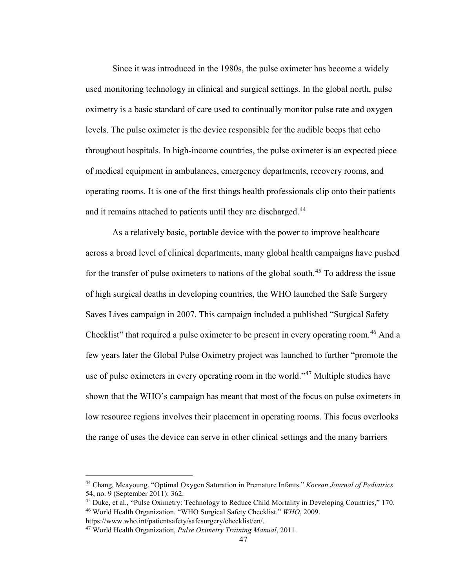Since it was introduced in the 1980s, the pulse oximeter has become a widely used monitoring technology in clinical and surgical settings. In the global north, pulse oximetry is a basic standard of care used to continually monitor pulse rate and oxygen levels. The pulse oximeter is the device responsible for the audible beeps that echo throughout hospitals. In high-income countries, the pulse oximeter is an expected piece of medical equipment in ambulances, emergency departments, recovery rooms, and operating rooms. It is one of the first things health professionals clip onto their patients and it remains attached to patients until they are discharged.<sup>[44](#page-52-0)</sup>

As a relatively basic, portable device with the power to improve healthcare across a broad level of clinical departments, many global health campaigns have pushed for the transfer of pulse oximeters to nations of the global south.<sup>[45](#page-52-1)</sup> To address the issue of high surgical deaths in developing countries, the WHO launched the Safe Surgery Saves Lives campaign in 2007. This campaign included a published "Surgical Safety Checklist" that required a pulse oximeter to be present in every operating room.<sup>[46](#page-52-2)</sup> And a few years later the Global Pulse Oximetry project was launched to further "promote the use of pulse oximeters in every operating room in the world."<sup>[47](#page-52-3)</sup> Multiple studies have shown that the WHO's campaign has meant that most of the focus on pulse oximeters in low resource regions involves their placement in operating rooms. This focus overlooks the range of uses the device can serve in other clinical settings and the many barriers

<span id="page-52-0"></span><sup>44</sup> Chang, Meayoung. "Optimal Oxygen Saturation in Premature Infants." *Korean Journal of Pediatrics* 54, no. 9 (September 2011): 362.

<span id="page-52-2"></span><span id="page-52-1"></span><sup>&</sup>lt;sup>45</sup> Duke, et al., "Pulse Oximetry: Technology to Reduce Child Mortality in Developing Countries," 170. <sup>46</sup> World Health Organization. "WHO Surgical Safety Checklist." *WHO*, 2009. https://www.who.int/patientsafety/safesurgery/checklist/en/.

<span id="page-52-3"></span><sup>47</sup> World Health Organization, *Pulse Oximetry Training Manual*, 2011.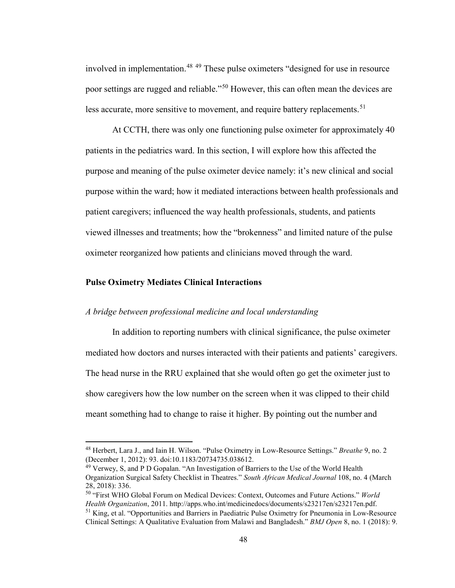involved in implementation.<sup>[48](#page-53-0)</sup> <sup>[49](#page-53-1)</sup> These pulse oximeters "designed for use in resource poor settings are rugged and reliable."[50](#page-53-2) However, this can often mean the devices are less accurate, more sensitive to movement, and require battery replacements.<sup>[51](#page-53-3)</sup>

At CCTH, there was only one functioning pulse oximeter for approximately 40 patients in the pediatrics ward. In this section, I will explore how this affected the purpose and meaning of the pulse oximeter device namely: it's new clinical and social purpose within the ward; how it mediated interactions between health professionals and patient caregivers; influenced the way health professionals, students, and patients viewed illnesses and treatments; how the "brokenness" and limited nature of the pulse oximeter reorganized how patients and clinicians moved through the ward.

#### **Pulse Oximetry Mediates Clinical Interactions**

## *A bridge between professional medicine and local understanding*

In addition to reporting numbers with clinical significance, the pulse oximeter mediated how doctors and nurses interacted with their patients and patients' caregivers. The head nurse in the RRU explained that she would often go get the oximeter just to show caregivers how the low number on the screen when it was clipped to their child meant something had to change to raise it higher. By pointing out the number and

<span id="page-53-0"></span><sup>48</sup> Herbert, Lara J., and Iain H. Wilson. "Pulse Oximetry in Low-Resource Settings." *Breathe* 9, no. 2 (December 1, 2012): 93. doi:10.1183/20734735.038612.

<span id="page-53-1"></span><sup>&</sup>lt;sup>49</sup> Verwey, S, and P D Gopalan. "An Investigation of Barriers to the Use of the World Health Organization Surgical Safety Checklist in Theatres." *South African Medical Journal* 108, no. 4 (March 28, 2018): 336.

<span id="page-53-3"></span><span id="page-53-2"></span><sup>50</sup> "First WHO Global Forum on Medical Devices: Context, Outcomes and Future Actions." *World Health Organization*, 2011. http://apps.who.int/medicinedocs/documents/s23217en/s23217en.pdf. <sup>51</sup> King, et al. "Opportunities and Barriers in Paediatric Pulse Oximetry for Pneumonia in Low-Resource Clinical Settings: A Qualitative Evaluation from Malawi and Bangladesh." *BMJ Open* 8, no. 1 (2018): 9.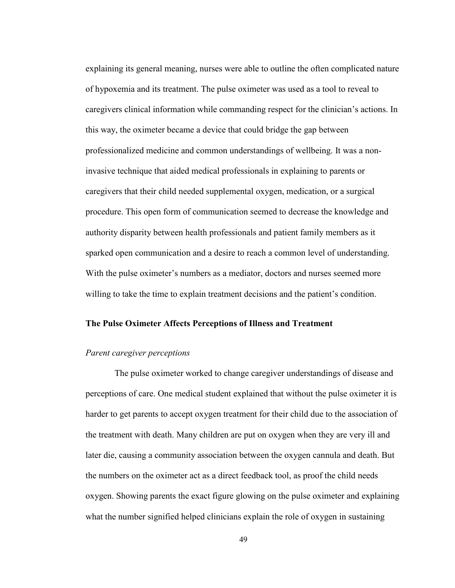explaining its general meaning, nurses were able to outline the often complicated nature of hypoxemia and its treatment. The pulse oximeter was used as a tool to reveal to caregivers clinical information while commanding respect for the clinician's actions. In this way, the oximeter became a device that could bridge the gap between professionalized medicine and common understandings of wellbeing. It was a noninvasive technique that aided medical professionals in explaining to parents or caregivers that their child needed supplemental oxygen, medication, or a surgical procedure. This open form of communication seemed to decrease the knowledge and authority disparity between health professionals and patient family members as it sparked open communication and a desire to reach a common level of understanding. With the pulse oximeter's numbers as a mediator, doctors and nurses seemed more willing to take the time to explain treatment decisions and the patient's condition.

## **The Pulse Oximeter Affects Perceptions of Illness and Treatment**

#### *Parent caregiver perceptions*

The pulse oximeter worked to change caregiver understandings of disease and perceptions of care. One medical student explained that without the pulse oximeter it is harder to get parents to accept oxygen treatment for their child due to the association of the treatment with death. Many children are put on oxygen when they are very ill and later die, causing a community association between the oxygen cannula and death. But the numbers on the oximeter act as a direct feedback tool, as proof the child needs oxygen. Showing parents the exact figure glowing on the pulse oximeter and explaining what the number signified helped clinicians explain the role of oxygen in sustaining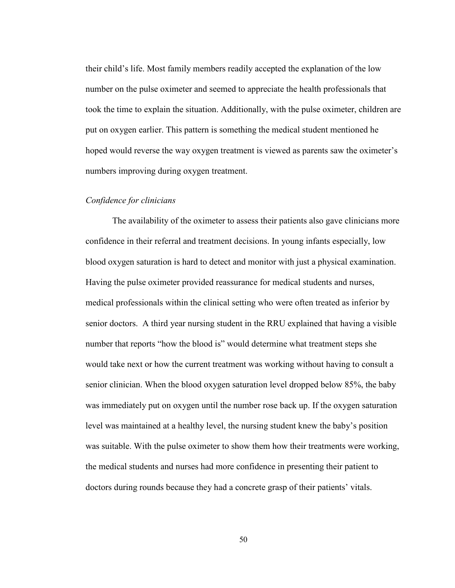their child's life. Most family members readily accepted the explanation of the low number on the pulse oximeter and seemed to appreciate the health professionals that took the time to explain the situation. Additionally, with the pulse oximeter, children are put on oxygen earlier. This pattern is something the medical student mentioned he hoped would reverse the way oxygen treatment is viewed as parents saw the oximeter's numbers improving during oxygen treatment.

### *Confidence for clinicians*

The availability of the oximeter to assess their patients also gave clinicians more confidence in their referral and treatment decisions. In young infants especially, low blood oxygen saturation is hard to detect and monitor with just a physical examination. Having the pulse oximeter provided reassurance for medical students and nurses, medical professionals within the clinical setting who were often treated as inferior by senior doctors. A third year nursing student in the RRU explained that having a visible number that reports "how the blood is" would determine what treatment steps she would take next or how the current treatment was working without having to consult a senior clinician. When the blood oxygen saturation level dropped below 85%, the baby was immediately put on oxygen until the number rose back up. If the oxygen saturation level was maintained at a healthy level, the nursing student knew the baby's position was suitable. With the pulse oximeter to show them how their treatments were working, the medical students and nurses had more confidence in presenting their patient to doctors during rounds because they had a concrete grasp of their patients' vitals.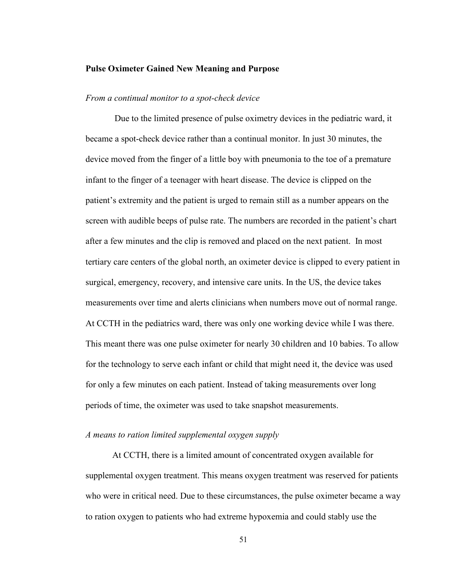#### **Pulse Oximeter Gained New Meaning and Purpose**

#### *From a continual monitor to a spot-check device*

Due to the limited presence of pulse oximetry devices in the pediatric ward, it became a spot-check device rather than a continual monitor. In just 30 minutes, the device moved from the finger of a little boy with pneumonia to the toe of a premature infant to the finger of a teenager with heart disease. The device is clipped on the patient's extremity and the patient is urged to remain still as a number appears on the screen with audible beeps of pulse rate. The numbers are recorded in the patient's chart after a few minutes and the clip is removed and placed on the next patient. In most tertiary care centers of the global north, an oximeter device is clipped to every patient in surgical, emergency, recovery, and intensive care units. In the US, the device takes measurements over time and alerts clinicians when numbers move out of normal range. At CCTH in the pediatrics ward, there was only one working device while I was there. This meant there was one pulse oximeter for nearly 30 children and 10 babies. To allow for the technology to serve each infant or child that might need it, the device was used for only a few minutes on each patient. Instead of taking measurements over long periods of time, the oximeter was used to take snapshot measurements.

#### *A means to ration limited supplemental oxygen supply*

At CCTH, there is a limited amount of concentrated oxygen available for supplemental oxygen treatment. This means oxygen treatment was reserved for patients who were in critical need. Due to these circumstances, the pulse oximeter became a way to ration oxygen to patients who had extreme hypoxemia and could stably use the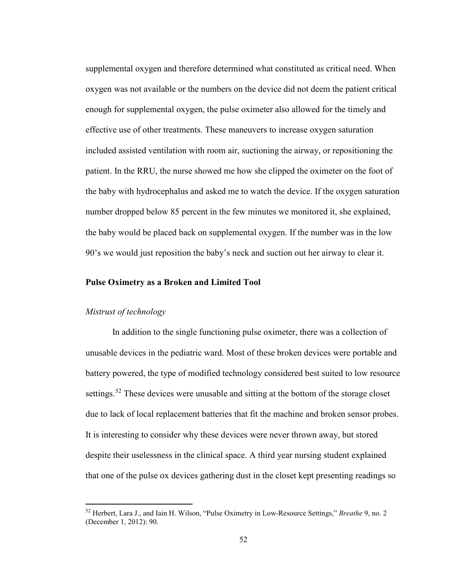supplemental oxygen and therefore determined what constituted as critical need. When oxygen was not available or the numbers on the device did not deem the patient critical enough for supplemental oxygen, the pulse oximeter also allowed for the timely and effective use of other treatments. These maneuvers to increase oxygen saturation included assisted ventilation with room air, suctioning the airway, or repositioning the patient. In the RRU, the nurse showed me how she clipped the oximeter on the foot of the baby with hydrocephalus and asked me to watch the device. If the oxygen saturation number dropped below 85 percent in the few minutes we monitored it, she explained, the baby would be placed back on supplemental oxygen. If the number was in the low 90's we would just reposition the baby's neck and suction out her airway to clear it.

#### **Pulse Oximetry as a Broken and Limited Tool**

## *Mistrust of technology*

In addition to the single functioning pulse oximeter, there was a collection of unusable devices in the pediatric ward. Most of these broken devices were portable and battery powered, the type of modified technology considered best suited to low resource settings.<sup>[52](#page-57-0)</sup> These devices were unusable and sitting at the bottom of the storage closet due to lack of local replacement batteries that fit the machine and broken sensor probes. It is interesting to consider why these devices were never thrown away, but stored despite their uselessness in the clinical space. A third year nursing student explained that one of the pulse ox devices gathering dust in the closet kept presenting readings so

<span id="page-57-0"></span><sup>52</sup> Herbert, Lara J., and Iain H. Wilson, "Pulse Oximetry in Low-Resource Settings," *Breathe* 9, no. 2 (December 1, 2012): 90.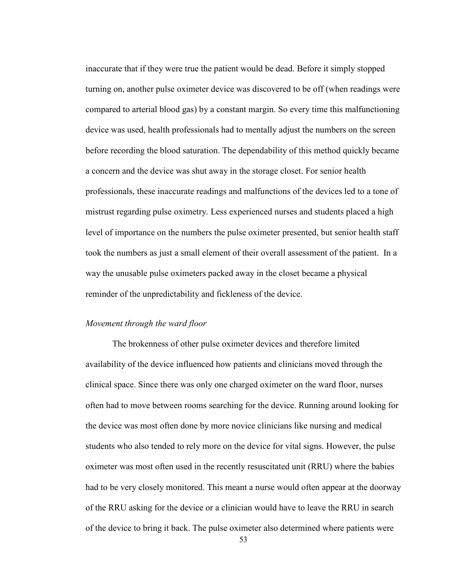inaccurate that if they were true the patient would be dead. Before it simply stopped turning on, another pulse oximeter device was discovered to be off (when readings were compared to arterial blood gas) by a constant margin. So every time this malfunctioning device was used, health professionals had to mentally adjust the numbers on the screen before recording the blood saturation. The dependability of this method quickly became a concern and the device was shut away in the storage closet. For senior health professionals, these inaccurate readings and malfunctions of the devices led to a tone of mistrust regarding pulse oximetry. Less experienced nurses and students placed a high level of importance on the numbers the pulse oximeter presented, but senior health staff took the numbers as just a small element of their overall assessment of the patient. In a way the unusable pulse oximeters packed away in the closet became a physical reminder of the unpredictability and fickleness of the device.

## *Movement through the ward floor*

The brokenness of other pulse oximeter devices and therefore limited availability of the device influenced how patients and clinicians moved through the clinical space. Since there was only one charged oximeter on the ward floor, nurses often had to move between rooms searching for the device. Running around looking for the device was most often done by more novice clinicians like nursing and medical students who also tended to rely more on the device for vital signs. However, the pulse oximeter was most often used in the recently resuscitated unit (RRU) where the babies had to be very closely monitored. This meant a nurse would often appear at the doorway of the RRU asking for the device or a clinician would have to leave the RRU in search of the device to bring it back. The pulse oximeter also determined where patients were

53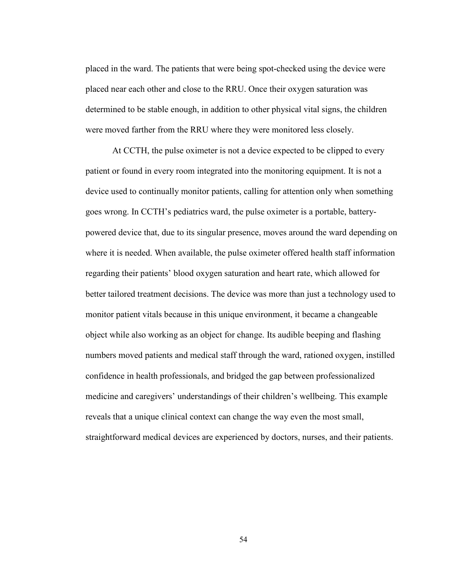placed in the ward. The patients that were being spot-checked using the device were placed near each other and close to the RRU. Once their oxygen saturation was determined to be stable enough, in addition to other physical vital signs, the children were moved farther from the RRU where they were monitored less closely.

At CCTH, the pulse oximeter is not a device expected to be clipped to every patient or found in every room integrated into the monitoring equipment. It is not a device used to continually monitor patients, calling for attention only when something goes wrong. In CCTH's pediatrics ward, the pulse oximeter is a portable, batterypowered device that, due to its singular presence, moves around the ward depending on where it is needed. When available, the pulse oximeter offered health staff information regarding their patients' blood oxygen saturation and heart rate, which allowed for better tailored treatment decisions. The device was more than just a technology used to monitor patient vitals because in this unique environment, it became a changeable object while also working as an object for change. Its audible beeping and flashing numbers moved patients and medical staff through the ward, rationed oxygen, instilled confidence in health professionals, and bridged the gap between professionalized medicine and caregivers' understandings of their children's wellbeing. This example reveals that a unique clinical context can change the way even the most small, straightforward medical devices are experienced by doctors, nurses, and their patients.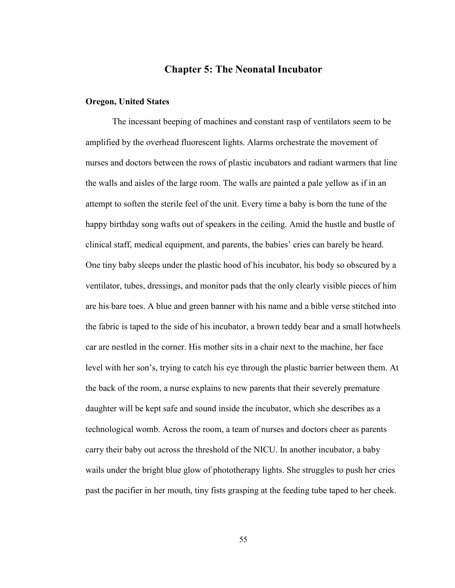# **Chapter 5: The Neonatal Incubator**

#### **Oregon, United States**

The incessant beeping of machines and constant rasp of ventilators seem to be amplified by the overhead fluorescent lights. Alarms orchestrate the movement of nurses and doctors between the rows of plastic incubators and radiant warmers that line the walls and aisles of the large room. The walls are painted a pale yellow as if in an attempt to soften the sterile feel of the unit. Every time a baby is born the tune of the happy birthday song wafts out of speakers in the ceiling. Amid the hustle and bustle of clinical staff, medical equipment, and parents, the babies' cries can barely be heard. One tiny baby sleeps under the plastic hood of his incubator, his body so obscured by a ventilator, tubes, dressings, and monitor pads that the only clearly visible pieces of him are his bare toes. A blue and green banner with his name and a bible verse stitched into the fabric is taped to the side of his incubator, a brown teddy bear and a small hotwheels car are nestled in the corner. His mother sits in a chair next to the machine, her face level with her son's, trying to catch his eye through the plastic barrier between them. At the back of the room, a nurse explains to new parents that their severely premature daughter will be kept safe and sound inside the incubator, which she describes as a technological womb. Across the room, a team of nurses and doctors cheer as parents carry their baby out across the threshold of the NICU. In another incubator, a baby wails under the bright blue glow of phototherapy lights. She struggles to push her cries past the pacifier in her mouth, tiny fists grasping at the feeding tube taped to her cheek.

55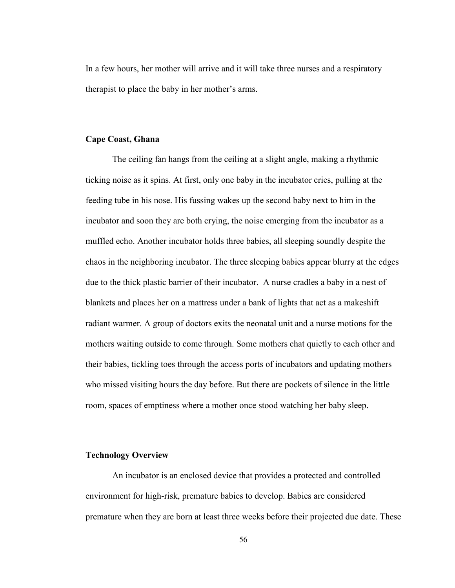In a few hours, her mother will arrive and it will take three nurses and a respiratory therapist to place the baby in her mother's arms.

## **Cape Coast, Ghana**

The ceiling fan hangs from the ceiling at a slight angle, making a rhythmic ticking noise as it spins. At first, only one baby in the incubator cries, pulling at the feeding tube in his nose. His fussing wakes up the second baby next to him in the incubator and soon they are both crying, the noise emerging from the incubator as a muffled echo. Another incubator holds three babies, all sleeping soundly despite the chaos in the neighboring incubator. The three sleeping babies appear blurry at the edges due to the thick plastic barrier of their incubator. A nurse cradles a baby in a nest of blankets and places her on a mattress under a bank of lights that act as a makeshift radiant warmer. A group of doctors exits the neonatal unit and a nurse motions for the mothers waiting outside to come through. Some mothers chat quietly to each other and their babies, tickling toes through the access ports of incubators and updating mothers who missed visiting hours the day before. But there are pockets of silence in the little room, spaces of emptiness where a mother once stood watching her baby sleep.

## **Technology Overview**

An incubator is an enclosed device that provides a protected and controlled environment for high-risk, premature babies to develop. Babies are considered premature when they are born at least three weeks before their projected due date. These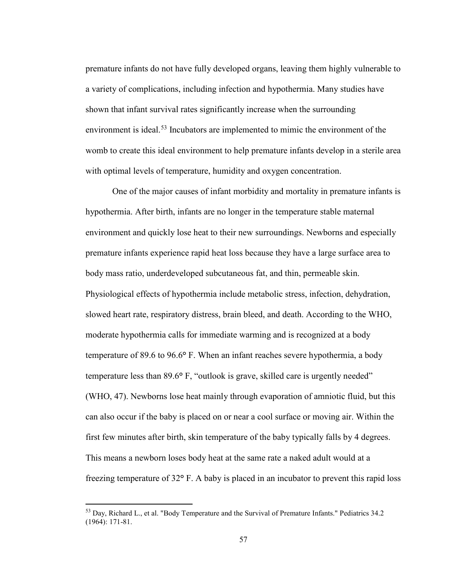premature infants do not have fully developed organs, leaving them highly vulnerable to a variety of complications, including infection and hypothermia. Many studies have shown that infant survival rates significantly increase when the surrounding environment is ideal.<sup>[53](#page-62-0)</sup> Incubators are implemented to mimic the environment of the womb to create this ideal environment to help premature infants develop in a sterile area with optimal levels of temperature, humidity and oxygen concentration.

One of the major causes of infant morbidity and mortality in premature infants is hypothermia. After birth, infants are no longer in the temperature stable maternal environment and quickly lose heat to their new surroundings. Newborns and especially premature infants experience rapid heat loss because they have a large surface area to body mass ratio, underdeveloped subcutaneous fat, and thin, permeable skin. Physiological effects of hypothermia include metabolic stress, infection, dehydration, slowed heart rate, respiratory distress, brain bleed, and death. According to the WHO, moderate hypothermia calls for immediate warming and is recognized at a body temperature of 89.6 to 96.6**°** F. When an infant reaches severe hypothermia, a body temperature less than 89.6**°** F, "outlook is grave, skilled care is urgently needed" (WHO, 47). Newborns lose heat mainly through evaporation of amniotic fluid, but this can also occur if the baby is placed on or near a cool surface or moving air. Within the first few minutes after birth, skin temperature of the baby typically falls by 4 degrees. This means a newborn loses body heat at the same rate a naked adult would at a freezing temperature of 32**°** F. A baby is placed in an incubator to prevent this rapid loss

<span id="page-62-0"></span><sup>53</sup> Day, Richard L., et al. "Body Temperature and the Survival of Premature Infants." Pediatrics 34.2 (1964): 171-81.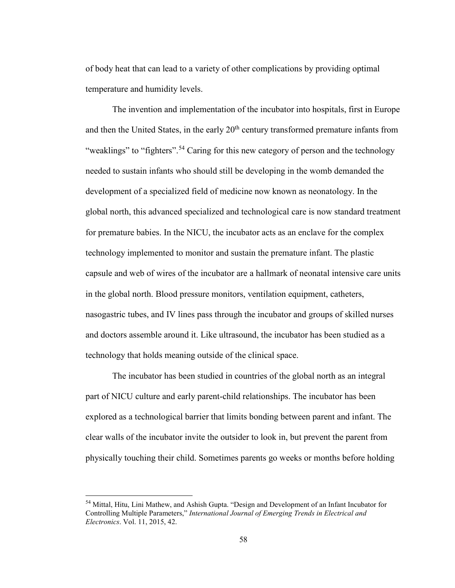of body heat that can lead to a variety of other complications by providing optimal temperature and humidity levels.

The invention and implementation of the incubator into hospitals, first in Europe and then the United States, in the early 20<sup>th</sup> century transformed premature infants from "weaklings" to "fighters".<sup>[54](#page-63-0)</sup> Caring for this new category of person and the technology needed to sustain infants who should still be developing in the womb demanded the development of a specialized field of medicine now known as neonatology. In the global north, this advanced specialized and technological care is now standard treatment for premature babies. In the NICU, the incubator acts as an enclave for the complex technology implemented to monitor and sustain the premature infant. The plastic capsule and web of wires of the incubator are a hallmark of neonatal intensive care units in the global north. Blood pressure monitors, ventilation equipment, catheters, nasogastric tubes, and IV lines pass through the incubator and groups of skilled nurses and doctors assemble around it. Like ultrasound, the incubator has been studied as a technology that holds meaning outside of the clinical space.

The incubator has been studied in countries of the global north as an integral part of NICU culture and early parent-child relationships. The incubator has been explored as a technological barrier that limits bonding between parent and infant. The clear walls of the incubator invite the outsider to look in, but prevent the parent from physically touching their child. Sometimes parents go weeks or months before holding

<span id="page-63-0"></span><sup>54</sup> Mittal, Hitu, Lini Mathew, and Ashish Gupta. "Design and Development of an Infant Incubator for Controlling Multiple Parameters," *International Journal of Emerging Trends in Electrical and Electronics*. Vol. 11, 2015, 42.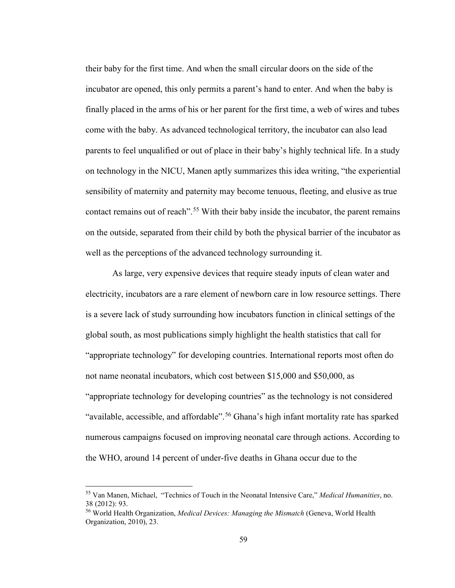their baby for the first time. And when the small circular doors on the side of the incubator are opened, this only permits a parent's hand to enter. And when the baby is finally placed in the arms of his or her parent for the first time, a web of wires and tubes come with the baby. As advanced technological territory, the incubator can also lead parents to feel unqualified or out of place in their baby's highly technical life. In a study on technology in the NICU, Manen aptly summarizes this idea writing, "the experiential sensibility of maternity and paternity may become tenuous, fleeting, and elusive as true contact remains out of reach".<sup>[55](#page-64-0)</sup> With their baby inside the incubator, the parent remains on the outside, separated from their child by both the physical barrier of the incubator as well as the perceptions of the advanced technology surrounding it.

As large, very expensive devices that require steady inputs of clean water and electricity, incubators are a rare element of newborn care in low resource settings. There is a severe lack of study surrounding how incubators function in clinical settings of the global south, as most publications simply highlight the health statistics that call for "appropriate technology" for developing countries. International reports most often do not name neonatal incubators, which cost between \$15,000 and \$50,000, as "appropriate technology for developing countries" as the technology is not considered "available, accessible, and affordable".<sup>[56](#page-64-1)</sup> Ghana's high infant mortality rate has sparked numerous campaigns focused on improving neonatal care through actions. According to the WHO, around 14 percent of under-five deaths in Ghana occur due to the

<span id="page-64-0"></span><sup>55</sup> Van Manen, Michael, "Technics of Touch in the Neonatal Intensive Care," *Medical Humanities*, no. 38 (2012): 93.

<span id="page-64-1"></span><sup>56</sup> World Health Organization, *Medical Devices: Managing the Mismatch* (Geneva, World Health Organization, 2010), 23.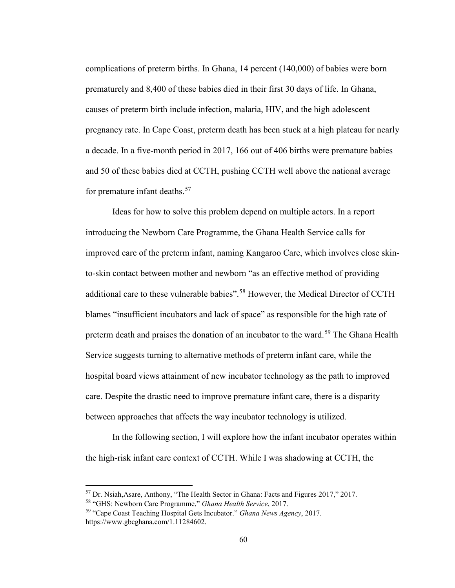complications of preterm births. In Ghana, 14 percent (140,000) of babies were born prematurely and 8,400 of these babies died in their first 30 days of life. In Ghana, causes of preterm birth include infection, malaria, HIV, and the high adolescent pregnancy rate. In Cape Coast, preterm death has been stuck at a high plateau for nearly a decade. In a five-month period in 2017, 166 out of 406 births were premature babies and 50 of these babies died at CCTH, pushing CCTH well above the national average for premature infant deaths.<sup>[57](#page-65-0)</sup>

Ideas for how to solve this problem depend on multiple actors. In a report introducing the Newborn Care Programme, the Ghana Health Service calls for improved care of the preterm infant, naming Kangaroo Care, which involves close skinto-skin contact between mother and newborn "as an effective method of providing additional care to these vulnerable babies".[58](#page-65-1) However, the Medical Director of CCTH blames "insufficient incubators and lack of space" as responsible for the high rate of preterm death and praises the donation of an incubator to the ward.<sup>[59](#page-65-2)</sup> The Ghana Health Service suggests turning to alternative methods of preterm infant care, while the hospital board views attainment of new incubator technology as the path to improved care. Despite the drastic need to improve premature infant care, there is a disparity between approaches that affects the way incubator technology is utilized.

In the following section, I will explore how the infant incubator operates within the high-risk infant care context of CCTH. While I was shadowing at CCTH, the

<span id="page-65-0"></span><sup>57</sup> Dr. Nsiah,Asare, Anthony, "The Health Sector in Ghana: Facts and Figures 2017," 2017.

<span id="page-65-1"></span><sup>58</sup> "GHS: Newborn Care Programme," *Ghana Health Service*, 2017.

<span id="page-65-2"></span><sup>59</sup> "Cape Coast Teaching Hospital Gets Incubator." *Ghana News Agency*, 2017. https://www.gbcghana.com/1.11284602.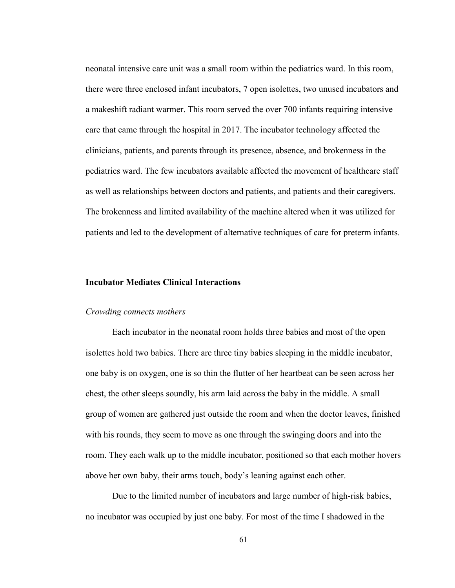neonatal intensive care unit was a small room within the pediatrics ward. In this room, there were three enclosed infant incubators, 7 open isolettes, two unused incubators and a makeshift radiant warmer. This room served the over 700 infants requiring intensive care that came through the hospital in 2017. The incubator technology affected the clinicians, patients, and parents through its presence, absence, and brokenness in the pediatrics ward. The few incubators available affected the movement of healthcare staff as well as relationships between doctors and patients, and patients and their caregivers. The brokenness and limited availability of the machine altered when it was utilized for patients and led to the development of alternative techniques of care for preterm infants.

## **Incubator Mediates Clinical Interactions**

#### *Crowding connects mothers*

Each incubator in the neonatal room holds three babies and most of the open isolettes hold two babies. There are three tiny babies sleeping in the middle incubator, one baby is on oxygen, one is so thin the flutter of her heartbeat can be seen across her chest, the other sleeps soundly, his arm laid across the baby in the middle. A small group of women are gathered just outside the room and when the doctor leaves, finished with his rounds, they seem to move as one through the swinging doors and into the room. They each walk up to the middle incubator, positioned so that each mother hovers above her own baby, their arms touch, body's leaning against each other.

Due to the limited number of incubators and large number of high-risk babies, no incubator was occupied by just one baby. For most of the time I shadowed in the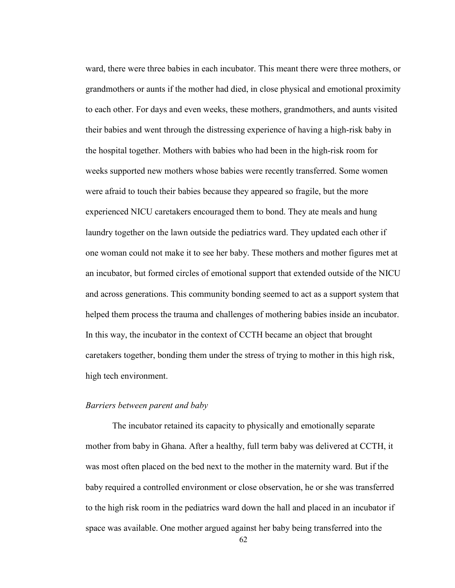ward, there were three babies in each incubator. This meant there were three mothers, or grandmothers or aunts if the mother had died, in close physical and emotional proximity to each other. For days and even weeks, these mothers, grandmothers, and aunts visited their babies and went through the distressing experience of having a high-risk baby in the hospital together. Mothers with babies who had been in the high-risk room for weeks supported new mothers whose babies were recently transferred. Some women were afraid to touch their babies because they appeared so fragile, but the more experienced NICU caretakers encouraged them to bond. They ate meals and hung laundry together on the lawn outside the pediatrics ward. They updated each other if one woman could not make it to see her baby. These mothers and mother figures met at an incubator, but formed circles of emotional support that extended outside of the NICU and across generations. This community bonding seemed to act as a support system that helped them process the trauma and challenges of mothering babies inside an incubator. In this way, the incubator in the context of CCTH became an object that brought caretakers together, bonding them under the stress of trying to mother in this high risk, high tech environment.

## *Barriers between parent and baby*

The incubator retained its capacity to physically and emotionally separate mother from baby in Ghana. After a healthy, full term baby was delivered at CCTH, it was most often placed on the bed next to the mother in the maternity ward. But if the baby required a controlled environment or close observation, he or she was transferred to the high risk room in the pediatrics ward down the hall and placed in an incubator if space was available. One mother argued against her baby being transferred into the

62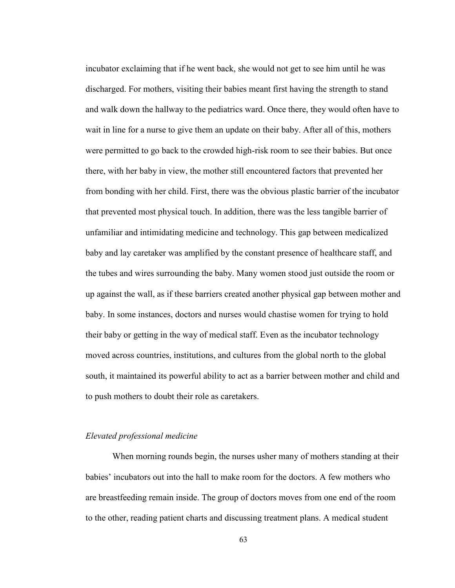incubator exclaiming that if he went back, she would not get to see him until he was discharged. For mothers, visiting their babies meant first having the strength to stand and walk down the hallway to the pediatrics ward. Once there, they would often have to wait in line for a nurse to give them an update on their baby. After all of this, mothers were permitted to go back to the crowded high-risk room to see their babies. But once there, with her baby in view, the mother still encountered factors that prevented her from bonding with her child. First, there was the obvious plastic barrier of the incubator that prevented most physical touch. In addition, there was the less tangible barrier of unfamiliar and intimidating medicine and technology. This gap between medicalized baby and lay caretaker was amplified by the constant presence of healthcare staff, and the tubes and wires surrounding the baby. Many women stood just outside the room or up against the wall, as if these barriers created another physical gap between mother and baby. In some instances, doctors and nurses would chastise women for trying to hold their baby or getting in the way of medical staff. Even as the incubator technology moved across countries, institutions, and cultures from the global north to the global south, it maintained its powerful ability to act as a barrier between mother and child and to push mothers to doubt their role as caretakers.

# *Elevated professional medicine*

When morning rounds begin, the nurses usher many of mothers standing at their babies' incubators out into the hall to make room for the doctors. A few mothers who are breastfeeding remain inside. The group of doctors moves from one end of the room to the other, reading patient charts and discussing treatment plans. A medical student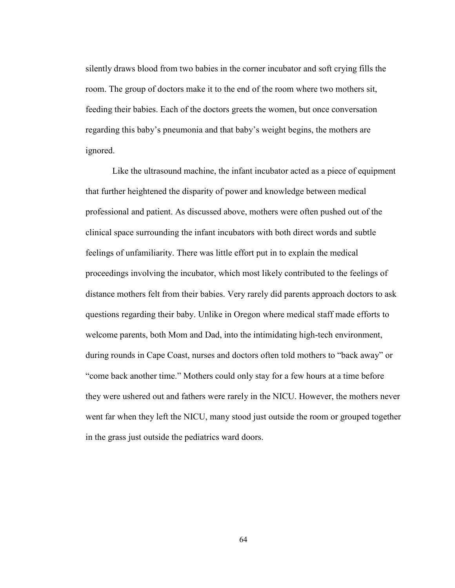silently draws blood from two babies in the corner incubator and soft crying fills the room. The group of doctors make it to the end of the room where two mothers sit, feeding their babies. Each of the doctors greets the women, but once conversation regarding this baby's pneumonia and that baby's weight begins, the mothers are ignored.

Like the ultrasound machine, the infant incubator acted as a piece of equipment that further heightened the disparity of power and knowledge between medical professional and patient. As discussed above, mothers were often pushed out of the clinical space surrounding the infant incubators with both direct words and subtle feelings of unfamiliarity. There was little effort put in to explain the medical proceedings involving the incubator, which most likely contributed to the feelings of distance mothers felt from their babies. Very rarely did parents approach doctors to ask questions regarding their baby. Unlike in Oregon where medical staff made efforts to welcome parents, both Mom and Dad, into the intimidating high-tech environment, during rounds in Cape Coast, nurses and doctors often told mothers to "back away" or "come back another time." Mothers could only stay for a few hours at a time before they were ushered out and fathers were rarely in the NICU. However, the mothers never went far when they left the NICU, many stood just outside the room or grouped together in the grass just outside the pediatrics ward doors.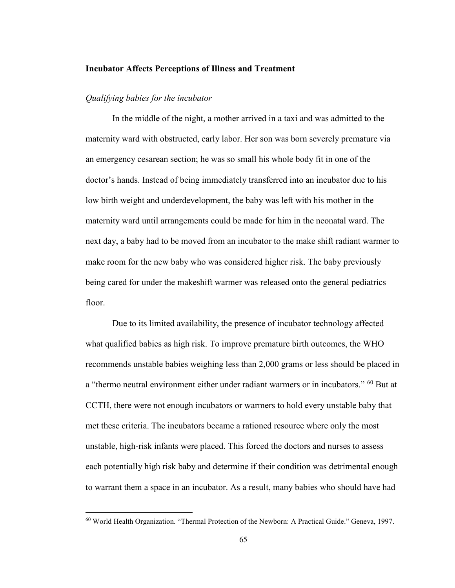#### **Incubator Affects Perceptions of Illness and Treatment**

## *Qualifying babies for the incubator*

In the middle of the night, a mother arrived in a taxi and was admitted to the maternity ward with obstructed, early labor. Her son was born severely premature via an emergency cesarean section; he was so small his whole body fit in one of the doctor's hands. Instead of being immediately transferred into an incubator due to his low birth weight and underdevelopment, the baby was left with his mother in the maternity ward until arrangements could be made for him in the neonatal ward. The next day, a baby had to be moved from an incubator to the make shift radiant warmer to make room for the new baby who was considered higher risk. The baby previously being cared for under the makeshift warmer was released onto the general pediatrics floor.

Due to its limited availability, the presence of incubator technology affected what qualified babies as high risk. To improve premature birth outcomes, the WHO recommends unstable babies weighing less than 2,000 grams or less should be placed in a "thermo neutral environment either under radiant warmers or in incubators." [60](#page-70-0) But at CCTH, there were not enough incubators or warmers to hold every unstable baby that met these criteria. The incubators became a rationed resource where only the most unstable, high-risk infants were placed. This forced the doctors and nurses to assess each potentially high risk baby and determine if their condition was detrimental enough to warrant them a space in an incubator. As a result, many babies who should have had

<span id="page-70-0"></span><sup>60</sup> World Health Organization. "Thermal Protection of the Newborn: A Practical Guide." Geneva, 1997.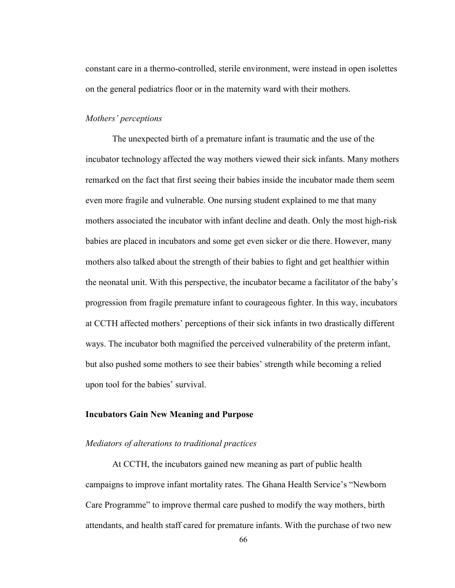constant care in a thermo-controlled, sterile environment, were instead in open isolettes on the general pediatrics floor or in the maternity ward with their mothers.

## *Mothers' perceptions*

The unexpected birth of a premature infant is traumatic and the use of the incubator technology affected the way mothers viewed their sick infants. Many mothers remarked on the fact that first seeing their babies inside the incubator made them seem even more fragile and vulnerable. One nursing student explained to me that many mothers associated the incubator with infant decline and death. Only the most high-risk babies are placed in incubators and some get even sicker or die there. However, many mothers also talked about the strength of their babies to fight and get healthier within the neonatal unit. With this perspective, the incubator became a facilitator of the baby's progression from fragile premature infant to courageous fighter. In this way, incubators at CCTH affected mothers' perceptions of their sick infants in two drastically different ways. The incubator both magnified the perceived vulnerability of the preterm infant, but also pushed some mothers to see their babies' strength while becoming a relied upon tool for the babies' survival.

## **Incubators Gain New Meaning and Purpose**

#### *Mediators of alterations to traditional practices*

At CCTH, the incubators gained new meaning as part of public health campaigns to improve infant mortality rates. The Ghana Health Service's "Newborn Care Programme" to improve thermal care pushed to modify the way mothers, birth attendants, and health staff cared for premature infants. With the purchase of two new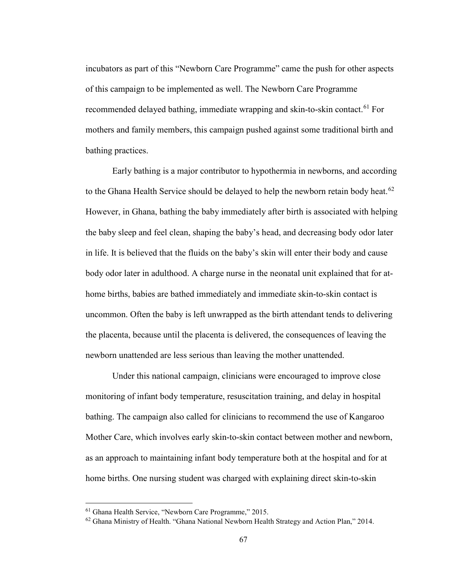incubators as part of this "Newborn Care Programme" came the push for other aspects of this campaign to be implemented as well. The Newborn Care Programme recommended delayed bathing, immediate wrapping and skin-to-skin contact.<sup>[61](#page-72-0)</sup> For mothers and family members, this campaign pushed against some traditional birth and bathing practices.

Early bathing is a major contributor to hypothermia in newborns, and according to the Ghana Health Service should be delayed to help the newborn retain body heat.<sup>[62](#page-72-1)</sup> However, in Ghana, bathing the baby immediately after birth is associated with helping the baby sleep and feel clean, shaping the baby's head, and decreasing body odor later in life. It is believed that the fluids on the baby's skin will enter their body and cause body odor later in adulthood. A charge nurse in the neonatal unit explained that for athome births, babies are bathed immediately and immediate skin-to-skin contact is uncommon. Often the baby is left unwrapped as the birth attendant tends to delivering the placenta, because until the placenta is delivered, the consequences of leaving the newborn unattended are less serious than leaving the mother unattended.

Under this national campaign, clinicians were encouraged to improve close monitoring of infant body temperature, resuscitation training, and delay in hospital bathing. The campaign also called for clinicians to recommend the use of Kangaroo Mother Care, which involves early skin-to-skin contact between mother and newborn, as an approach to maintaining infant body temperature both at the hospital and for at home births. One nursing student was charged with explaining direct skin-to-skin

<span id="page-72-0"></span><sup>61</sup> Ghana Health Service, "Newborn Care Programme," 2015.

<span id="page-72-1"></span><sup>&</sup>lt;sup>62</sup> Ghana Ministry of Health. "Ghana National Newborn Health Strategy and Action Plan," 2014.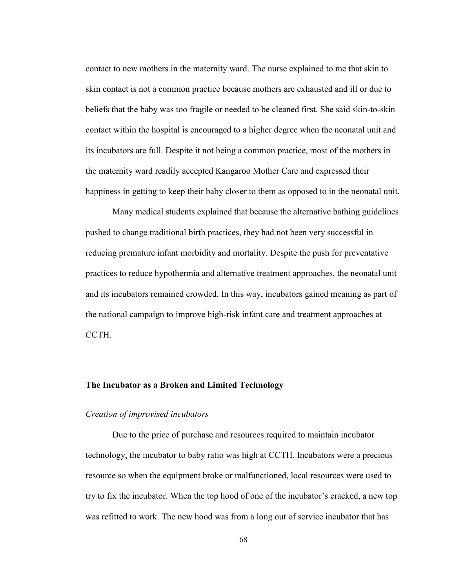contact to new mothers in the maternity ward. The nurse explained to me that skin to skin contact is not a common practice because mothers are exhausted and ill or due to beliefs that the baby was too fragile or needed to be cleaned first. She said skin-to-skin contact within the hospital is encouraged to a higher degree when the neonatal unit and its incubators are full. Despite it not being a common practice, most of the mothers in the maternity ward readily accepted Kangaroo Mother Care and expressed their happiness in getting to keep their baby closer to them as opposed to in the neonatal unit.

Many medical students explained that because the alternative bathing guidelines pushed to change traditional birth practices, they had not been very successful in reducing premature infant morbidity and mortality. Despite the push for preventative practices to reduce hypothermia and alternative treatment approaches, the neonatal unit and its incubators remained crowded. In this way, incubators gained meaning as part of the national campaign to improve high-risk infant care and treatment approaches at CCTH.

## **The Incubator as a Broken and Limited Technology**

### *Creation of improvised incubators*

Due to the price of purchase and resources required to maintain incubator technology, the incubator to baby ratio was high at CCTH. Incubators were a precious resource so when the equipment broke or malfunctioned, local resources were used to try to fix the incubator. When the top hood of one of the incubator's cracked, a new top was refitted to work. The new hood was from a long out of service incubator that has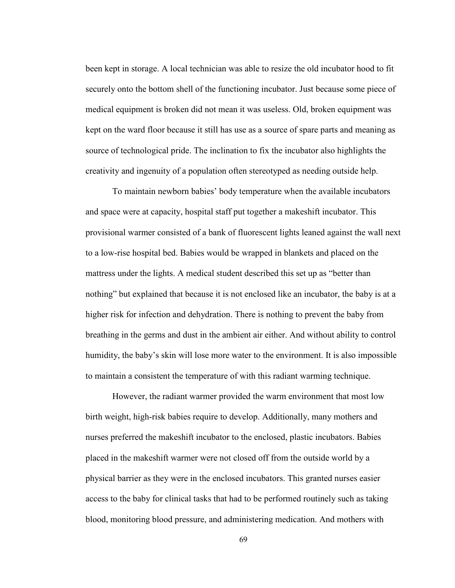been kept in storage. A local technician was able to resize the old incubator hood to fit securely onto the bottom shell of the functioning incubator. Just because some piece of medical equipment is broken did not mean it was useless. Old, broken equipment was kept on the ward floor because it still has use as a source of spare parts and meaning as source of technological pride. The inclination to fix the incubator also highlights the creativity and ingenuity of a population often stereotyped as needing outside help.

To maintain newborn babies' body temperature when the available incubators and space were at capacity, hospital staff put together a makeshift incubator. This provisional warmer consisted of a bank of fluorescent lights leaned against the wall next to a low-rise hospital bed. Babies would be wrapped in blankets and placed on the mattress under the lights. A medical student described this set up as "better than nothing" but explained that because it is not enclosed like an incubator, the baby is at a higher risk for infection and dehydration. There is nothing to prevent the baby from breathing in the germs and dust in the ambient air either. And without ability to control humidity, the baby's skin will lose more water to the environment. It is also impossible to maintain a consistent the temperature of with this radiant warming technique.

However, the radiant warmer provided the warm environment that most low birth weight, high-risk babies require to develop. Additionally, many mothers and nurses preferred the makeshift incubator to the enclosed, plastic incubators. Babies placed in the makeshift warmer were not closed off from the outside world by a physical barrier as they were in the enclosed incubators. This granted nurses easier access to the baby for clinical tasks that had to be performed routinely such as taking blood, monitoring blood pressure, and administering medication. And mothers with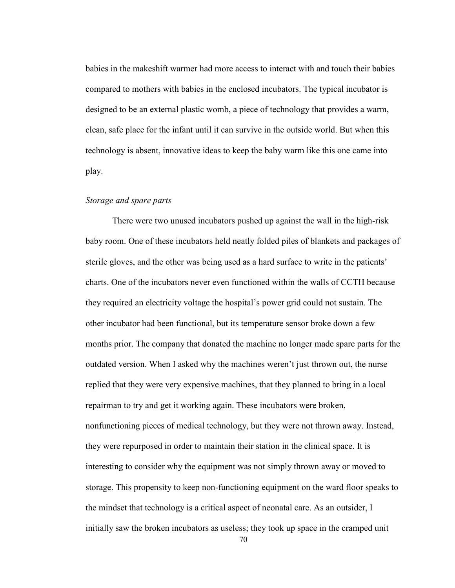babies in the makeshift warmer had more access to interact with and touch their babies compared to mothers with babies in the enclosed incubators. The typical incubator is designed to be an external plastic womb, a piece of technology that provides a warm, clean, safe place for the infant until it can survive in the outside world. But when this technology is absent, innovative ideas to keep the baby warm like this one came into play.

## *Storage and spare parts*

There were two unused incubators pushed up against the wall in the high-risk baby room. One of these incubators held neatly folded piles of blankets and packages of sterile gloves, and the other was being used as a hard surface to write in the patients' charts. One of the incubators never even functioned within the walls of CCTH because they required an electricity voltage the hospital's power grid could not sustain. The other incubator had been functional, but its temperature sensor broke down a few months prior. The company that donated the machine no longer made spare parts for the outdated version. When I asked why the machines weren't just thrown out, the nurse replied that they were very expensive machines, that they planned to bring in a local repairman to try and get it working again. These incubators were broken, nonfunctioning pieces of medical technology, but they were not thrown away. Instead, they were repurposed in order to maintain their station in the clinical space. It is interesting to consider why the equipment was not simply thrown away or moved to storage. This propensity to keep non-functioning equipment on the ward floor speaks to the mindset that technology is a critical aspect of neonatal care. As an outsider, I initially saw the broken incubators as useless; they took up space in the cramped unit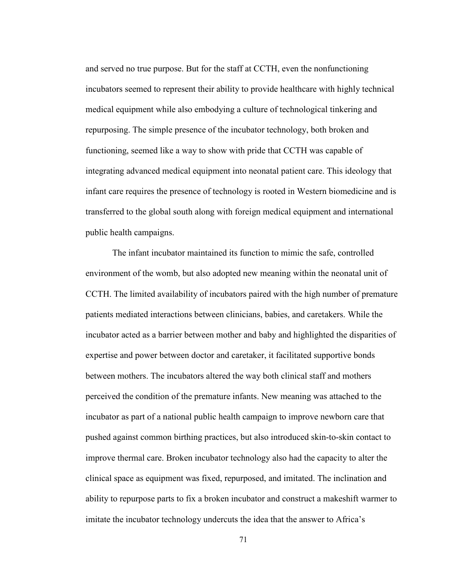and served no true purpose. But for the staff at CCTH, even the nonfunctioning incubators seemed to represent their ability to provide healthcare with highly technical medical equipment while also embodying a culture of technological tinkering and repurposing. The simple presence of the incubator technology, both broken and functioning, seemed like a way to show with pride that CCTH was capable of integrating advanced medical equipment into neonatal patient care. This ideology that infant care requires the presence of technology is rooted in Western biomedicine and is transferred to the global south along with foreign medical equipment and international public health campaigns.

The infant incubator maintained its function to mimic the safe, controlled environment of the womb, but also adopted new meaning within the neonatal unit of CCTH. The limited availability of incubators paired with the high number of premature patients mediated interactions between clinicians, babies, and caretakers. While the incubator acted as a barrier between mother and baby and highlighted the disparities of expertise and power between doctor and caretaker, it facilitated supportive bonds between mothers. The incubators altered the way both clinical staff and mothers perceived the condition of the premature infants. New meaning was attached to the incubator as part of a national public health campaign to improve newborn care that pushed against common birthing practices, but also introduced skin-to-skin contact to improve thermal care. Broken incubator technology also had the capacity to alter the clinical space as equipment was fixed, repurposed, and imitated. The inclination and ability to repurpose parts to fix a broken incubator and construct a makeshift warmer to imitate the incubator technology undercuts the idea that the answer to Africa's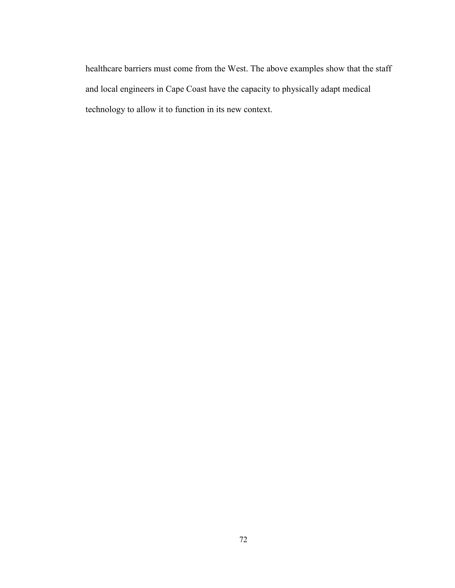healthcare barriers must come from the West. The above examples show that the staff and local engineers in Cape Coast have the capacity to physically adapt medical technology to allow it to function in its new context.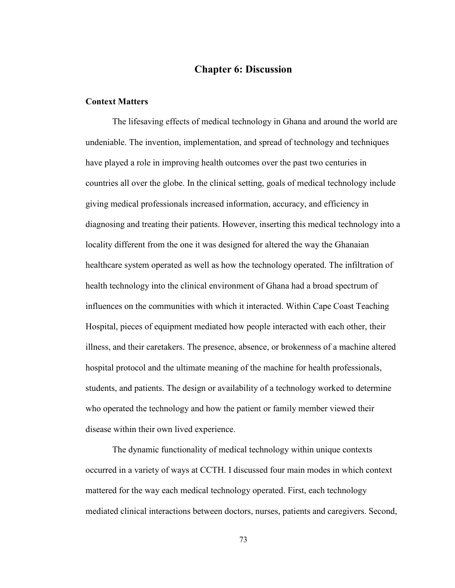# **Chapter 6: Discussion**

### **Context Matters**

The lifesaving effects of medical technology in Ghana and around the world are undeniable. The invention, implementation, and spread of technology and techniques have played a role in improving health outcomes over the past two centuries in countries all over the globe. In the clinical setting, goals of medical technology include giving medical professionals increased information, accuracy, and efficiency in diagnosing and treating their patients. However, inserting this medical technology into a locality different from the one it was designed for altered the way the Ghanaian healthcare system operated as well as how the technology operated. The infiltration of health technology into the clinical environment of Ghana had a broad spectrum of influences on the communities with which it interacted. Within Cape Coast Teaching Hospital, pieces of equipment mediated how people interacted with each other, their illness, and their caretakers. The presence, absence, or brokenness of a machine altered hospital protocol and the ultimate meaning of the machine for health professionals, students, and patients. The design or availability of a technology worked to determine who operated the technology and how the patient or family member viewed their disease within their own lived experience.

The dynamic functionality of medical technology within unique contexts occurred in a variety of ways at CCTH. I discussed four main modes in which context mattered for the way each medical technology operated. First, each technology mediated clinical interactions between doctors, nurses, patients and caregivers. Second,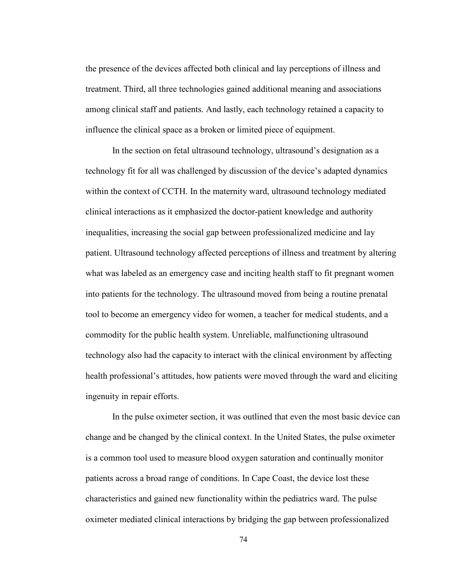the presence of the devices affected both clinical and lay perceptions of illness and treatment. Third, all three technologies gained additional meaning and associations among clinical staff and patients. And lastly, each technology retained a capacity to influence the clinical space as a broken or limited piece of equipment.

In the section on fetal ultrasound technology, ultrasound's designation as a technology fit for all was challenged by discussion of the device's adapted dynamics within the context of CCTH. In the maternity ward, ultrasound technology mediated clinical interactions as it emphasized the doctor-patient knowledge and authority inequalities, increasing the social gap between professionalized medicine and lay patient. Ultrasound technology affected perceptions of illness and treatment by altering what was labeled as an emergency case and inciting health staff to fit pregnant women into patients for the technology. The ultrasound moved from being a routine prenatal tool to become an emergency video for women, a teacher for medical students, and a commodity for the public health system. Unreliable, malfunctioning ultrasound technology also had the capacity to interact with the clinical environment by affecting health professional's attitudes, how patients were moved through the ward and eliciting ingenuity in repair efforts.

In the pulse oximeter section, it was outlined that even the most basic device can change and be changed by the clinical context. In the United States, the pulse oximeter is a common tool used to measure blood oxygen saturation and continually monitor patients across a broad range of conditions. In Cape Coast, the device lost these characteristics and gained new functionality within the pediatrics ward. The pulse oximeter mediated clinical interactions by bridging the gap between professionalized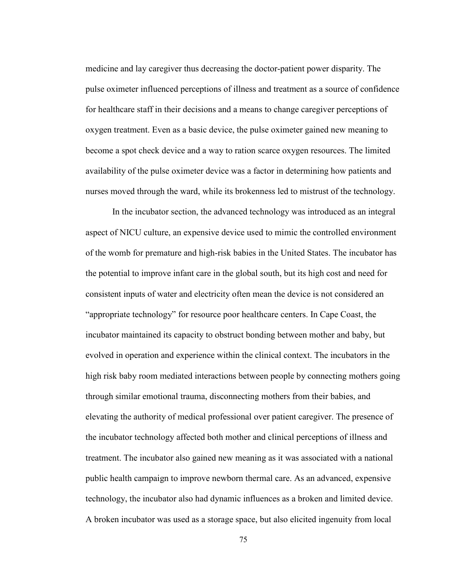medicine and lay caregiver thus decreasing the doctor-patient power disparity. The pulse oximeter influenced perceptions of illness and treatment as a source of confidence for healthcare staff in their decisions and a means to change caregiver perceptions of oxygen treatment. Even as a basic device, the pulse oximeter gained new meaning to become a spot check device and a way to ration scarce oxygen resources. The limited availability of the pulse oximeter device was a factor in determining how patients and nurses moved through the ward, while its brokenness led to mistrust of the technology.

In the incubator section, the advanced technology was introduced as an integral aspect of NICU culture, an expensive device used to mimic the controlled environment of the womb for premature and high-risk babies in the United States. The incubator has the potential to improve infant care in the global south, but its high cost and need for consistent inputs of water and electricity often mean the device is not considered an "appropriate technology" for resource poor healthcare centers. In Cape Coast, the incubator maintained its capacity to obstruct bonding between mother and baby, but evolved in operation and experience within the clinical context. The incubators in the high risk baby room mediated interactions between people by connecting mothers going through similar emotional trauma, disconnecting mothers from their babies, and elevating the authority of medical professional over patient caregiver. The presence of the incubator technology affected both mother and clinical perceptions of illness and treatment. The incubator also gained new meaning as it was associated with a national public health campaign to improve newborn thermal care. As an advanced, expensive technology, the incubator also had dynamic influences as a broken and limited device. A broken incubator was used as a storage space, but also elicited ingenuity from local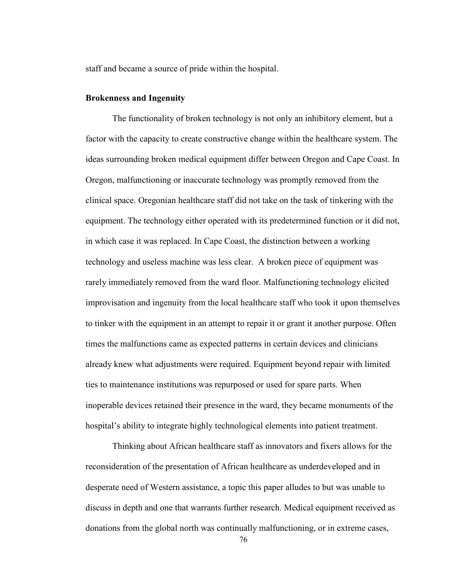staff and became a source of pride within the hospital.

## **Brokenness and Ingenuity**

The functionality of broken technology is not only an inhibitory element, but a factor with the capacity to create constructive change within the healthcare system. The ideas surrounding broken medical equipment differ between Oregon and Cape Coast. In Oregon, malfunctioning or inaccurate technology was promptly removed from the clinical space. Oregonian healthcare staff did not take on the task of tinkering with the equipment. The technology either operated with its predetermined function or it did not, in which case it was replaced. In Cape Coast, the distinction between a working technology and useless machine was less clear. A broken piece of equipment was rarely immediately removed from the ward floor. Malfunctioning technology elicited improvisation and ingenuity from the local healthcare staff who took it upon themselves to tinker with the equipment in an attempt to repair it or grant it another purpose. Often times the malfunctions came as expected patterns in certain devices and clinicians already knew what adjustments were required. Equipment beyond repair with limited ties to maintenance institutions was repurposed or used for spare parts. When inoperable devices retained their presence in the ward, they became monuments of the hospital's ability to integrate highly technological elements into patient treatment.

Thinking about African healthcare staff as innovators and fixers allows for the reconsideration of the presentation of African healthcare as underdeveloped and in desperate need of Western assistance, a topic this paper alludes to but was unable to discuss in depth and one that warrants further research. Medical equipment received as donations from the global north was continually malfunctioning, or in extreme cases,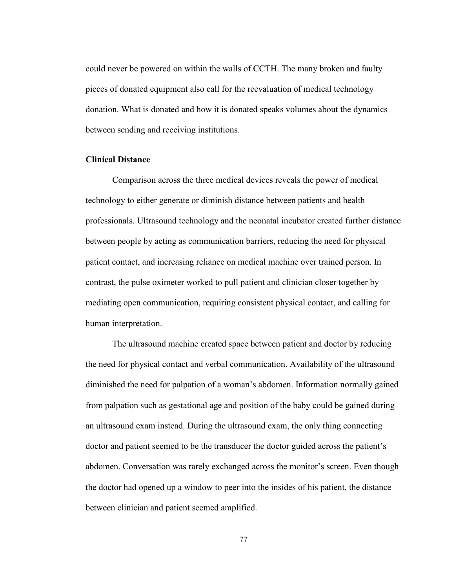could never be powered on within the walls of CCTH. The many broken and faulty pieces of donated equipment also call for the reevaluation of medical technology donation. What is donated and how it is donated speaks volumes about the dynamics between sending and receiving institutions.

# **Clinical Distance**

Comparison across the three medical devices reveals the power of medical technology to either generate or diminish distance between patients and health professionals. Ultrasound technology and the neonatal incubator created further distance between people by acting as communication barriers, reducing the need for physical patient contact, and increasing reliance on medical machine over trained person. In contrast, the pulse oximeter worked to pull patient and clinician closer together by mediating open communication, requiring consistent physical contact, and calling for human interpretation.

The ultrasound machine created space between patient and doctor by reducing the need for physical contact and verbal communication. Availability of the ultrasound diminished the need for palpation of a woman's abdomen. Information normally gained from palpation such as gestational age and position of the baby could be gained during an ultrasound exam instead. During the ultrasound exam, the only thing connecting doctor and patient seemed to be the transducer the doctor guided across the patient's abdomen. Conversation was rarely exchanged across the monitor's screen. Even though the doctor had opened up a window to peer into the insides of his patient, the distance between clinician and patient seemed amplified.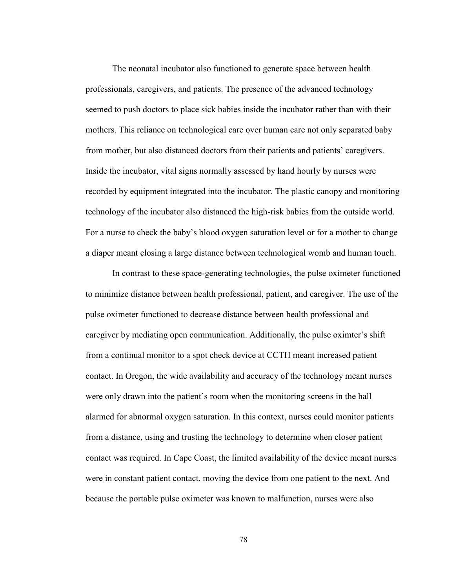The neonatal incubator also functioned to generate space between health professionals, caregivers, and patients. The presence of the advanced technology seemed to push doctors to place sick babies inside the incubator rather than with their mothers. This reliance on technological care over human care not only separated baby from mother, but also distanced doctors from their patients and patients' caregivers. Inside the incubator, vital signs normally assessed by hand hourly by nurses were recorded by equipment integrated into the incubator. The plastic canopy and monitoring technology of the incubator also distanced the high-risk babies from the outside world. For a nurse to check the baby's blood oxygen saturation level or for a mother to change a diaper meant closing a large distance between technological womb and human touch.

In contrast to these space-generating technologies, the pulse oximeter functioned to minimize distance between health professional, patient, and caregiver. The use of the pulse oximeter functioned to decrease distance between health professional and caregiver by mediating open communication. Additionally, the pulse oximter's shift from a continual monitor to a spot check device at CCTH meant increased patient contact. In Oregon, the wide availability and accuracy of the technology meant nurses were only drawn into the patient's room when the monitoring screens in the hall alarmed for abnormal oxygen saturation. In this context, nurses could monitor patients from a distance, using and trusting the technology to determine when closer patient contact was required. In Cape Coast, the limited availability of the device meant nurses were in constant patient contact, moving the device from one patient to the next. And because the portable pulse oximeter was known to malfunction, nurses were also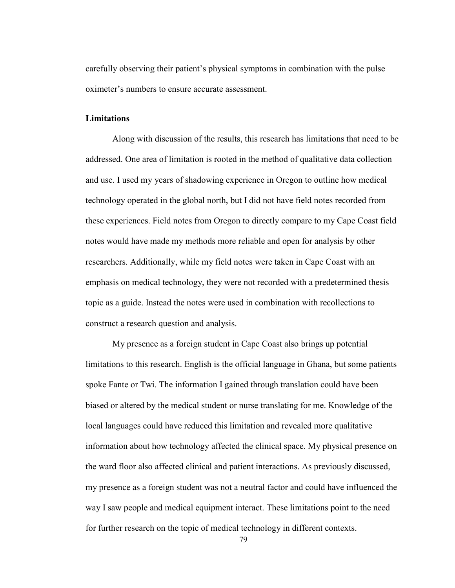carefully observing their patient's physical symptoms in combination with the pulse oximeter's numbers to ensure accurate assessment.

# **Limitations**

Along with discussion of the results, this research has limitations that need to be addressed. One area of limitation is rooted in the method of qualitative data collection and use. I used my years of shadowing experience in Oregon to outline how medical technology operated in the global north, but I did not have field notes recorded from these experiences. Field notes from Oregon to directly compare to my Cape Coast field notes would have made my methods more reliable and open for analysis by other researchers. Additionally, while my field notes were taken in Cape Coast with an emphasis on medical technology, they were not recorded with a predetermined thesis topic as a guide. Instead the notes were used in combination with recollections to construct a research question and analysis.

My presence as a foreign student in Cape Coast also brings up potential limitations to this research. English is the official language in Ghana, but some patients spoke Fante or Twi. The information I gained through translation could have been biased or altered by the medical student or nurse translating for me. Knowledge of the local languages could have reduced this limitation and revealed more qualitative information about how technology affected the clinical space. My physical presence on the ward floor also affected clinical and patient interactions. As previously discussed, my presence as a foreign student was not a neutral factor and could have influenced the way I saw people and medical equipment interact. These limitations point to the need for further research on the topic of medical technology in different contexts.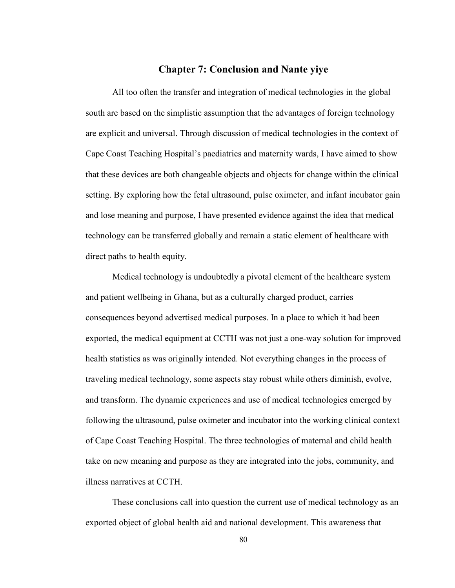# **Chapter 7: Conclusion and Nante yiye**

All too often the transfer and integration of medical technologies in the global south are based on the simplistic assumption that the advantages of foreign technology are explicit and universal. Through discussion of medical technologies in the context of Cape Coast Teaching Hospital's paediatrics and maternity wards, I have aimed to show that these devices are both changeable objects and objects for change within the clinical setting. By exploring how the fetal ultrasound, pulse oximeter, and infant incubator gain and lose meaning and purpose, I have presented evidence against the idea that medical technology can be transferred globally and remain a static element of healthcare with direct paths to health equity.

Medical technology is undoubtedly a pivotal element of the healthcare system and patient wellbeing in Ghana, but as a culturally charged product, carries consequences beyond advertised medical purposes. In a place to which it had been exported, the medical equipment at CCTH was not just a one-way solution for improved health statistics as was originally intended. Not everything changes in the process of traveling medical technology, some aspects stay robust while others diminish, evolve, and transform. The dynamic experiences and use of medical technologies emerged by following the ultrasound, pulse oximeter and incubator into the working clinical context of Cape Coast Teaching Hospital. The three technologies of maternal and child health take on new meaning and purpose as they are integrated into the jobs, community, and illness narratives at CCTH.

These conclusions call into question the current use of medical technology as an exported object of global health aid and national development. This awareness that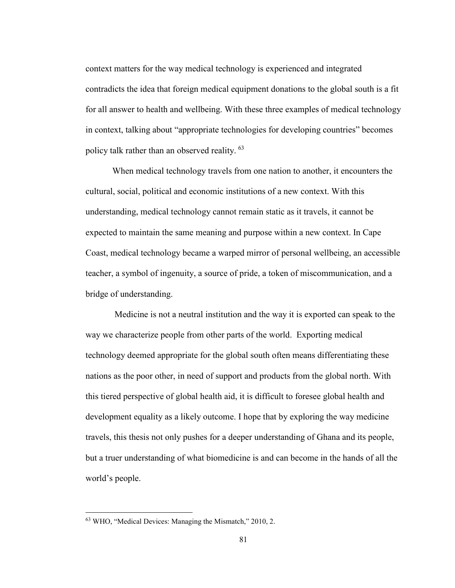context matters for the way medical technology is experienced and integrated contradicts the idea that foreign medical equipment donations to the global south is a fit for all answer to health and wellbeing. With these three examples of medical technology in context, talking about "appropriate technologies for developing countries" becomes policy talk rather than an observed reality. [63](#page-86-0)

When medical technology travels from one nation to another, it encounters the cultural, social, political and economic institutions of a new context. With this understanding, medical technology cannot remain static as it travels, it cannot be expected to maintain the same meaning and purpose within a new context. In Cape Coast, medical technology became a warped mirror of personal wellbeing, an accessible teacher, a symbol of ingenuity, a source of pride, a token of miscommunication, and a bridge of understanding.

Medicine is not a neutral institution and the way it is exported can speak to the way we characterize people from other parts of the world. Exporting medical technology deemed appropriate for the global south often means differentiating these nations as the poor other, in need of support and products from the global north. With this tiered perspective of global health aid, it is difficult to foresee global health and development equality as a likely outcome. I hope that by exploring the way medicine travels, this thesis not only pushes for a deeper understanding of Ghana and its people, but a truer understanding of what biomedicine is and can become in the hands of all the world's people.

<span id="page-86-0"></span><sup>63</sup> WHO, "Medical Devices: Managing the Mismatch," 2010, 2.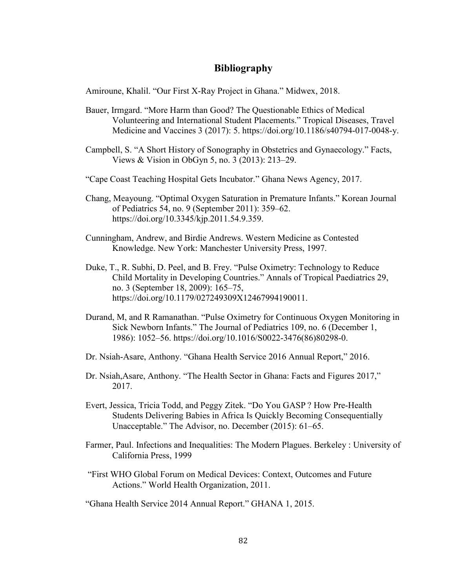# **Bibliography**

Amiroune, Khalil. "Our First X-Ray Project in Ghana." Midwex, 2018.

- Bauer, Irmgard. "More Harm than Good? The Questionable Ethics of Medical Volunteering and International Student Placements." Tropical Diseases, Travel Medicine and Vaccines 3 (2017): 5. https://doi.org/10.1186/s40794-017-0048-y.
- Campbell, S. "A Short History of Sonography in Obstetrics and Gynaecology." Facts, Views & Vision in ObGyn 5, no. 3 (2013): 213–29.
- "Cape Coast Teaching Hospital Gets Incubator." Ghana News Agency, 2017.
- Chang, Meayoung. "Optimal Oxygen Saturation in Premature Infants." Korean Journal of Pediatrics 54, no. 9 (September 2011): 359–62. https://doi.org/10.3345/kjp.2011.54.9.359.
- Cunningham, Andrew, and Birdie Andrews. Western Medicine as Contested Knowledge. New York: Manchester University Press, 1997.
- Duke, T., R. Subhi, D. Peel, and B. Frey. "Pulse Oximetry: Technology to Reduce Child Mortality in Developing Countries." Annals of Tropical Paediatrics 29, no. 3 (September 18, 2009): 165–75, https://doi.org/10.1179/027249309X12467994190011.
- Durand, M, and R Ramanathan. "Pulse Oximetry for Continuous Oxygen Monitoring in Sick Newborn Infants." The Journal of Pediatrics 109, no. 6 (December 1, 1986): 1052–56. https://doi.org/10.1016/S0022-3476(86)80298-0.
- Dr. Nsiah-Asare, Anthony. "Ghana Health Service 2016 Annual Report," 2016.
- Dr. Nsiah,Asare, Anthony. "The Health Sector in Ghana: Facts and Figures 2017," 2017.
- Evert, Jessica, Tricia Todd, and Peggy Zitek. "Do You GASP ? How Pre-Health Students Delivering Babies in Africa Is Quickly Becoming Consequentially Unacceptable." The Advisor, no. December (2015): 61–65.
- Farmer, Paul. Infections and Inequalities: The Modern Plagues. Berkeley : University of California Press, 1999
- "First WHO Global Forum on Medical Devices: Context, Outcomes and Future Actions." World Health Organization, 2011.

"Ghana Health Service 2014 Annual Report." GHANA 1, 2015.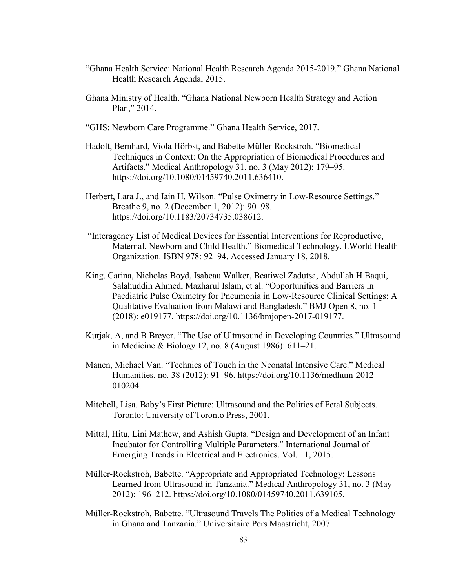- "Ghana Health Service: National Health Research Agenda 2015-2019." Ghana National Health Research Agenda, 2015.
- Ghana Ministry of Health. "Ghana National Newborn Health Strategy and Action Plan," 2014.
- "GHS: Newborn Care Programme." Ghana Health Service, 2017.
- Hadolt, Bernhard, Viola Hörbst, and Babette Müller-Rockstroh. "Biomedical Techniques in Context: On the Appropriation of Biomedical Procedures and Artifacts." Medical Anthropology 31, no. 3 (May 2012): 179–95. https://doi.org/10.1080/01459740.2011.636410.
- Herbert, Lara J., and Iain H. Wilson. "Pulse Oximetry in Low-Resource Settings." Breathe 9, no. 2 (December 1, 2012): 90–98. https://doi.org/10.1183/20734735.038612.
- "Interagency List of Medical Devices for Essential Interventions for Reproductive, Maternal, Newborn and Child Health." Biomedical Technology. I.World Health Organization. ISBN 978: 92–94. Accessed January 18, 2018.
- King, Carina, Nicholas Boyd, Isabeau Walker, Beatiwel Zadutsa, Abdullah H Baqui, Salahuddin Ahmed, Mazharul Islam, et al. "Opportunities and Barriers in Paediatric Pulse Oximetry for Pneumonia in Low-Resource Clinical Settings: A Qualitative Evaluation from Malawi and Bangladesh." BMJ Open 8, no. 1 (2018): e019177. https://doi.org/10.1136/bmjopen-2017-019177.
- Kurjak, A, and B Breyer. "The Use of Ultrasound in Developing Countries." Ultrasound in Medicine & Biology 12, no. 8 (August 1986): 611–21.
- Manen, Michael Van. "Technics of Touch in the Neonatal Intensive Care." Medical Humanities, no. 38 (2012): 91–96. https://doi.org/10.1136/medhum-2012- 010204.
- Mitchell, Lisa. Baby's First Picture: Ultrasound and the Politics of Fetal Subjects. Toronto: University of Toronto Press, 2001.
- Mittal, Hitu, Lini Mathew, and Ashish Gupta. "Design and Development of an Infant Incubator for Controlling Multiple Parameters." International Journal of Emerging Trends in Electrical and Electronics. Vol. 11, 2015.
- Müller-Rockstroh, Babette. "Appropriate and Appropriated Technology: Lessons Learned from Ultrasound in Tanzania." Medical Anthropology 31, no. 3 (May 2012): 196–212. https://doi.org/10.1080/01459740.2011.639105.
- Müller-Rockstroh, Babette. "Ultrasound Travels The Politics of a Medical Technology in Ghana and Tanzania." Universitaire Pers Maastricht, 2007.